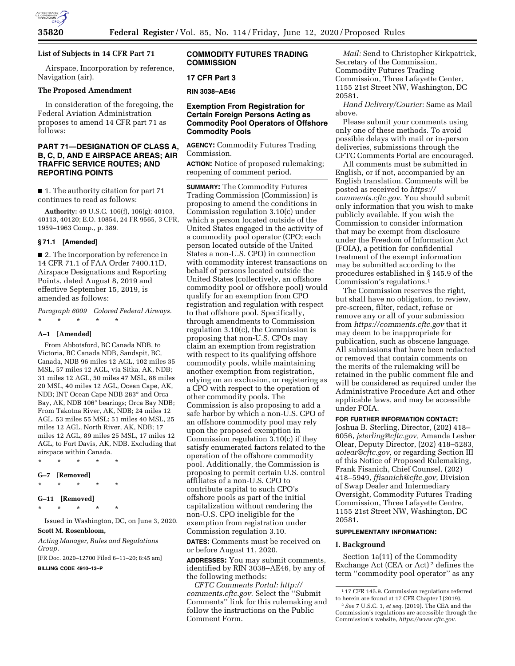

# **List of Subjects in 14 CFR Part 71**

Airspace, Incorporation by reference, Navigation (air).

#### **The Proposed Amendment**

In consideration of the foregoing, the Federal Aviation Administration proposes to amend 14 CFR part 71 as follows:

# **PART 71—DESIGNATION OF CLASS A, B, C, D, AND E AIRSPACE AREAS; AIR TRAFFIC SERVICE ROUTES; AND REPORTING POINTS**

■ 1. The authority citation for part 71 continues to read as follows:

**Authority:** 49 U.S.C. 106(f), 106(g); 40103, 40113, 40120; E.O. 10854, 24 FR 9565, 3 CFR, 1959–1963 Comp., p. 389.

## **§ 71.1 [Amended]**

■ 2. The incorporation by reference in 14 CFR 71.1 of FAA Order 7400.11D, Airspace Designations and Reporting Points, dated August 8, 2019 and effective September 15, 2019, is amended as follows:

*Paragraph 6009 Colored Federal Airways.* 

\* \* \* \* \*

#### **A–1 [Amended]**

From Abbotsford, BC Canada NDB, to Victoria, BC Canada NDB, Sandspit, BC, Canada, NDB 96 miles 12 AGL, 102 miles 35 MSL, 57 miles 12 AGL, via Sitka, AK, NDB; 31 miles 12 AGL, 50 miles 47 MSL, 88 miles 20 MSL, 40 miles 12 AGL, Ocean Cape, AK, NDB; INT Ocean Cape NDB 283° and Orca Bay, AK, NDB 106° bearings; Orca Bay NDB; From Takotna River, AK, NDB; 24 miles 12 AGL, 53 miles 55 MSL; 51 miles 40 MSL, 25 miles 12 AGL, North River, AK, NDB; 17 miles 12 AGL, 89 miles 25 MSL, 17 miles 12 AGL, to Fort Davis, AK, NDB. Excluding that airspace within Canada.

- \* \* \* \* \* **G–7 [Removed]**
- \* \* \* \* \*

**G–11 [Removed]** 

\* \* \* \* \*

Issued in Washington, DC, on June 3, 2020. **Scott M. Rosenbloom,** 

*Acting Manager, Rules and Regulations Group.* 

[FR Doc. 2020–12700 Filed 6–11–20; 8:45 am]

**BILLING CODE 4910–13–P** 

## **COMMODITY FUTURES TRADING COMMISSION**

#### **17 CFR Part 3**

**RIN 3038–AE46** 

## **Exemption From Registration for Certain Foreign Persons Acting as Commodity Pool Operators of Offshore Commodity Pools**

**AGENCY:** Commodity Futures Trading Commission.

**ACTION:** Notice of proposed rulemaking; reopening of comment period.

**SUMMARY:** The Commodity Futures Trading Commission (Commission) is proposing to amend the conditions in Commission regulation 3.10(c) under which a person located outside of the United States engaged in the activity of a commodity pool operator (CPO; each person located outside of the United States a non-U.S. CPO) in connection with commodity interest transactions on behalf of persons located outside the United States (collectively, an offshore commodity pool or offshore pool) would qualify for an exemption from CPO registration and regulation with respect to that offshore pool. Specifically, through amendments to Commission regulation 3.10(c), the Commission is proposing that non-U.S. CPOs may claim an exemption from registration with respect to its qualifying offshore commodity pools, while maintaining another exemption from registration, relying on an exclusion, or registering as a CPO with respect to the operation of other commodity pools. The Commission is also proposing to add a safe harbor by which a non-U.S. CPO of an offshore commodity pool may rely upon the proposed exemption in Commission regulation 3.10(c) if they satisfy enumerated factors related to the operation of the offshore commodity pool. Additionally, the Commission is proposing to permit certain U.S. control affiliates of a non-U.S. CPO to contribute capital to such CPO's offshore pools as part of the initial capitalization without rendering the non-U.S. CPO ineligible for the exemption from registration under Commission regulation 3.10.

**DATES:** Comments must be received on or before August 11, 2020.

**ADDRESSES:** You may submit comments, identified by RIN 3038–AE46, by any of the following methods:

*CFTC Comments Portal: [http://](http://comments.cftc.gov) [comments.cftc.gov](http://comments.cftc.gov)*. Select the ''Submit Comments'' link for this rulemaking and follow the instructions on the Public Comment Form.

*Mail:* Send to Christopher Kirkpatrick, Secretary of the Commission, Commodity Futures Trading Commission, Three Lafayette Center, 1155 21st Street NW, Washington, DC 20581.

*Hand Delivery/Courier:* Same as Mail above.

Please submit your comments using only one of these methods. To avoid possible delays with mail or in-person deliveries, submissions through the CFTC Comments Portal are encouraged.

All comments must be submitted in English, or if not, accompanied by an English translation. Comments will be posted as received to *[https://](https://comments.cftc.gov) [comments.cftc.gov](https://comments.cftc.gov)*. You should submit only information that you wish to make publicly available. If you wish the Commission to consider information that may be exempt from disclosure under the Freedom of Information Act (FOIA), a petition for confidential treatment of the exempt information may be submitted according to the procedures established in § 145.9 of the Commission's regulations.1

The Commission reserves the right, but shall have no obligation, to review, pre-screen, filter, redact, refuse or remove any or all of your submission from *<https://comments.cftc.gov>* that it may deem to be inappropriate for publication, such as obscene language. All submissions that have been redacted or removed that contain comments on the merits of the rulemaking will be retained in the public comment file and will be considered as required under the Administrative Procedure Act and other applicable laws, and may be accessible under FOIA.

#### **FOR FURTHER INFORMATION CONTACT:**

Joshua B. Sterling, Director, (202) 418– 6056, *[jsterling@cftc.gov,](mailto:jsterling@cftc.gov)* Amanda Lesher Olear, Deputy Director, (202) 418–5283, *[aolear@cftc.gov,](mailto:aolear@cftc.gov)* or regarding Section III of this Notice of Proposed Rulemaking, Frank Fisanich, Chief Counsel, (202) 418–5949, *[ffisanich@cftc.gov,](mailto:ffisanich@cftc.gov)* Division of Swap Dealer and Intermediary Oversight, Commodity Futures Trading Commission, Three Lafayette Centre, 1155 21st Street NW, Washington, DC 20581.

#### **SUPPLEMENTARY INFORMATION:**

## **I. Background**

Section 1a(11) of the Commodity Exchange Act (CEA or Act) 2 defines the term ''commodity pool operator'' as any

<sup>1</sup> 17 CFR 145.9. Commission regulations referred to herein are found at 17 CFR Chapter I (2019).

<sup>2</sup>*See* 7 U.S.C. 1, *et seq.* (2019). The CEA and the Commission's regulations are accessible through the Commission's website, *[https://www.cftc.gov.](https://www.cftc.gov)*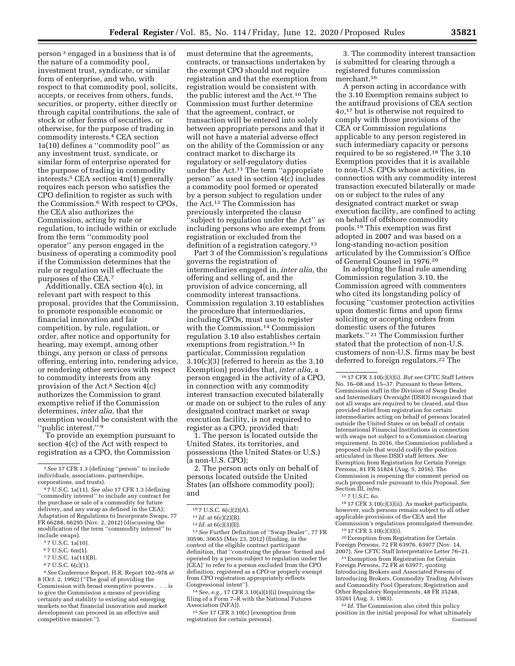person 3 engaged in a business that is of the nature of a commodity pool, investment trust, syndicate, or similar form of enterprise, and who, with respect to that commodity pool, solicits, accepts, or receives from others, funds, securities, or property, either directly or through capital contributions, the sale of stock or other forms of securities, or otherwise, for the purpose of trading in commodity interests.4 CEA section 1a(10) defines a ''commodity pool'' as any investment trust, syndicate, or similar form of enterprise operated for the purpose of trading in commodity interests.5 CEA section 4m(1) generally requires each person who satisfies the CPO definition to register as such with the Commission.6 With respect to CPOs, the CEA also authorizes the Commission, acting by rule or regulation, to include within or exclude from the term ''commodity pool operator'' any person engaged in the business of operating a commodity pool if the Commission determines that the rule or regulation will effectuate the purposes of the CEA.7

Additionally, CEA section 4(c), in relevant part with respect to this proposal, provides that the Commission, to promote responsible economic or financial innovation and fair competition, by rule, regulation, or order, after notice and opportunity for hearing, may exempt, among other things, any person or class of persons offering, entering into, rendering advice, or rendering other services with respect to commodity interests from any provision of the Act.8 Section 4(c) authorizes the Commission to grant exemptive relief if the Commission determines, *inter alia,* that the exemption would be consistent with the ''public interest.'' 9

To provide an exemption pursuant to section 4(c) of the Act with respect to registration as a CPO, the Commission

6 7 U.S.C. 6m(1).

9*See* Conference Report, H.R. Report 102–978 at 8 (Oct. 2, 1992) (''The goal of providing the Commission with broad exemptive powers . to give the Commission a means of providing certainty and stability to existing and emerging markets so that financial innovation and market development can proceed in an effective and competitive manner.'').

must determine that the agreements, contracts, or transactions undertaken by the exempt CPO should not require registration and that the exemption from registration would be consistent with the public interest and the Act.10 The Commission must further determine that the agreement, contract, or transaction will be entered into solely between appropriate persons and that it will not have a material adverse effect on the ability of the Commission or any contract market to discharge its regulatory or self-regulatory duties under the Act.11 The term ''appropriate person'' as used in section 4(c) includes a commodity pool formed or operated by a person subject to regulation under the Act.12 The Commission has previously interpreted the clause ''subject to regulation under the Act'' as including persons who are exempt from registration or excluded from the definition of a registration category.13

Part 3 of the Commission's regulations governs the registration of intermediaries engaged in, *inter alia,* the offering and selling of, and the provision of advice concerning, all commodity interest transactions. Commission regulation 3.10 establishes the procedure that intermediaries, including CPOs, must use to register with the Commission.14 Commission regulation 3.10 also establishes certain exemptions from registration.15 In particular, Commission regulation 3.10(c)(3) (referred to herein as the 3.10 Exemption) provides that, *inter alia,* a person engaged in the activity of a CPO, in connection with any commodity interest transaction executed bilaterally or made on or subject to the rules of any designated contract market or swap execution facility, is not required to register as a CPO, provided that:

1. The person is located outside the United States, its territories, and possessions (the United States or U.S.) (a non-U.S. CPO);

2. The person acts only on behalf of persons located outside the United States (an offshore commodity pool); and

<sup>10</sup> 7 U.S.C. 6(c)(2)(A). 11 *Id.* at 6(c)(2)(B). 12 *Id.* at 6(c)(3)(E). 13*See* Further Definition of ''Swap Dealer'', 77 FR 30596, 30655 (May 23, 2012) (finding, in the context of the eligible contract participant definition, that ''construing the phrase 'formed and operated by a person subject to regulation under the [CEA]' to refer to a person excluded from the CPO definition, registered as a CPO or properly exempt from CPO registration appropriately reflects Congressional intent'').

14*See, e.g.,* 17 CFR 3.10(a)(1)(i) (requiring the filing of a Form 7–R with the National Futures

<sup>15</sup> See 17 CFR 3.10(c) (exemption from registration for certain persons).

3. The commodity interest transaction is submitted for clearing through a registered futures commission merchant.16

A person acting in accordance with the 3.10 Exemption remains subject to the antifraud provisions of CEA section 4*o,*17 but is otherwise not required to comply with those provisions of the CEA or Commission regulations applicable to any person registered in such intermediary capacity or persons required to be so registered.18 The 3.10 Exemption provides that it is available to non-U.S. CPOs whose activities, in connection with any commodity interest transaction executed bilaterally or made on or subject to the rules of any designated contract market or swap execution facility, are confined to acting on behalf of offshore commodity pools.19 This exemption was first adopted in 2007 and was based on a long-standing no-action position articulated by the Commission's Office of General Counsel in 1976.20

In adopting the final rule amending Commission regulation 3.10, the Commission agreed with commenters who cited its longstanding policy of focusing ''customer protection activities upon domestic firms and upon firms soliciting or accepting orders from domestic users of the futures markets.'' 21 The Commission further stated that the protection of non-U.S. customers of non-U.S. firms may be best deferred to foreign regulators.22 The

18 17 CFR 3.10(c)(3)(ii). As market participants, however, such persons remain subject to all other applicable provisions of the CEA and the

<sup>19</sup> 17 CFR 3.10(c)(3)(i).<br><sup>20</sup> Exemption from Registration for Certain Foreign Persons, 72 FR 63976, 63977 (Nov. 14,<br>2007). *See* CFTC Staff Interpretative Letter 76–21.<br><sup>21</sup> Exemption from Registration for Certain

Foreign Persons, 72 FR at 63977, *quoting*  Introducing Brokers and Associated Persons of Introducing Brokers, Commodity Trading Advisors and Commodity Pool Operators; Registration and Other Regulatory Requirements, 48 FR 35248, 35261 (Aug. 3, 1983).

22 *Id.* The Commission also cited this policy position in the initial proposal for what ultimately Continued

<sup>3</sup>*See* 17 CFR 1.3 (defining ''person'' to include individuals, associations, partnerships,

corporations, and trusts). 4 7 U.S.C. 1a(11). *See also* 17 CFR 1.3 (defining ''commodity interest'' to include any contract for the purchase or sale of a commodity for future delivery, and any swap as defined in the CEA); Adaptation of Regulations to Incorporate Swaps, 77 FR 66288, 66295 (Nov. 2, 2012) (discussing the modification of the term ''commodity interest'' to include swaps).

<sup>5</sup> 7 U.S.C. 1a(10).

<sup>7</sup> 7 U.S.C. 1a(11)(B).

<sup>8</sup> 7 U.S.C. 6(c)(1).

<sup>16</sup> 17 CFR 3.10(c)(3)(i). *But see* CFTC Staff Letters No. 16–08 and 15–37. Pursuant to these letters, Commission staff in the Division of Swap Dealer and Intermediary Oversight (DSIO) recognized that not all swaps are required to be cleared, and thus provided relief from registration for certain intermediaries acting on behalf of persons located outside the United States or on behalf of certain International Financial Institutions in connection with swaps not subject to a Commission clearing requirement. In 2016, the Commission published a proposed rule that would codify the position articulated in these DSIO staff letters. *See*  Exemption from Registration for Certain Foreign Persons, 81 FR 51824 (Aug. 5, 2016). The Commission is reopening the comment period on such proposed rule pursuant to this Proposal. *See*  Section III, *infra.* 

<sup>17</sup> 7 U.S.C. 6*o.*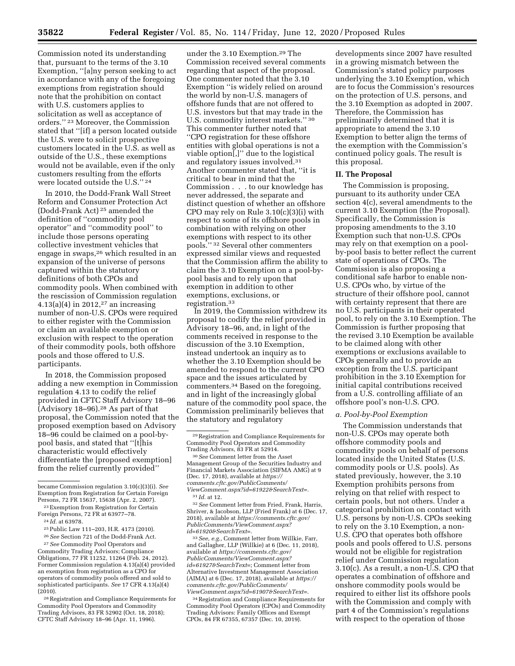Commission noted its understanding that, pursuant to the terms of the 3.10 Exemption, ''[a]ny person seeking to act in accordance with any of the foregoing exemptions from registration should note that the prohibition on contact with U.S. customers applies to solicitation as well as acceptance of orders.'' 23 Moreover, the Commission stated that ''[if] a person located outside the U.S. were to solicit prospective customers located in the U.S. as well as outside of the U.S., these exemptions would not be available, even if the only customers resulting from the efforts were located outside the U.S.'' 24

In 2010, the Dodd-Frank Wall Street Reform and Consumer Protection Act (Dodd-Frank Act) 25 amended the definition of ''commodity pool operator'' and ''commodity pool'' to include those persons operating collective investment vehicles that engage in swaps,26 which resulted in an expansion of the universe of persons captured within the statutory definitions of both CPOs and commodity pools. When combined with the rescission of Commission regulation  $4.13(a)(4)$  in 2012,<sup>27</sup> an increasing number of non-U.S. CPOs were required to either register with the Commission or claim an available exemption or exclusion with respect to the operation of their commodity pools, both offshore pools and those offered to U.S. participants.

In 2018, the Commission proposed adding a new exemption in Commission regulation 4.13 to codify the relief provided in CFTC Staff Advisory 18–96 (Advisory 18–96).28 As part of that proposal, the Commission noted that the proposed exemption based on Advisory 18–96 could be claimed on a pool-bypool basis, and stated that ''[t]his characteristic would effectively differentiate the [proposed exemption] from the relief currently provided''

28Registration and Compliance Requirements for Commodity Pool Operators and Commodity Trading Advisors, 83 FR 52902 (Oct. 18, 2018); CFTC Staff Advisory 18–96 (Apr. 11, 1996).

under the 3.10 Exemption.29 The Commission received several comments regarding that aspect of the proposal. One commenter noted that the 3.10 Exemption ''is widely relied on around the world by non-U.S. managers of offshore funds that are not offered to U.S. investors but that may trade in the U.S. commodity interest markets.'' 30 This commenter further noted that ''CPO registration for these offshore entities with global operations is not a viable option[,]'' due to the logistical and regulatory issues involved.31 Another commenter stated that, ''it is critical to bear in mind that the Commission . . . to our knowledge has never addressed, the separate and distinct question of whether an offshore CPO may rely on Rule 3.10(c)(3)(i) with respect to some of its offshore pools in combination with relying on other exemptions with respect to its other pools.'' 32 Several other commenters expressed similar views and requested that the Commission affirm the ability to claim the 3.10 Exemption on a pool-bypool basis and to rely upon that exemption in addition to other exemptions, exclusions, or registration.33

In 2019, the Commission withdrew its proposal to codify the relief provided in Advisory 18–96, and, in light of the comments received in response to the discussion of the 3.10 Exemption, instead undertook an inquiry as to whether the 3.10 Exemption should be amended to respond to the current CPO space and the issues articulated by commenters.34 Based on the foregoing, and in light of the increasingly global nature of the commodity pool space, the Commission preliminarily believes that the statutory and regulatory

32*See* Comment letter from Fried, Frank, Harris, Shriver, & Jacobson, LLP (Fried Frank) at 6 (Dec. 17, 2018), available at *[https://comments.cftc.gov/](https://comments.cftc.gov/PublicComments/ViewComment.aspx?id=61920&SearchText=) [PublicComments/ViewComment.aspx?](https://comments.cftc.gov/PublicComments/ViewComment.aspx?id=61920&SearchText=) [id=61920&SearchText=.](https://comments.cftc.gov/PublicComments/ViewComment.aspx?id=61920&SearchText=)* 

33*See, e.g.,* Comment letter from Willkie, Farr, and Gallagher, LLP (Willkie) at 6 (Dec. 11, 2018), available at *[https://comments.cftc.gov/](https://comments.cftc.gov/PublicComments/ViewComment.aspx?id=61927&SearchText=)  [PublicComments/ViewComment.aspx?](https://comments.cftc.gov/PublicComments/ViewComment.aspx?id=61927&SearchText=) [id=61927&SearchText=](https://comments.cftc.gov/PublicComments/ViewComment.aspx?id=61927&SearchText=)*; Comment letter from Alternative Investment Management Association (AIMA) at 6 (Dec. 17, 2018), available at *[https://](https://comments.cftc.gov/PublicComments/ViewComment.aspx?id=61907&SearchText=) [comments.cftc.gov/PublicComments/](https://comments.cftc.gov/PublicComments/ViewComment.aspx?id=61907&SearchText=)  [ViewComment.aspx?id=61907&SearchText=](https://comments.cftc.gov/PublicComments/ViewComment.aspx?id=61907&SearchText=)*.

34Registration and Compliance Requirements for Commodity Pool Operators (CPOs) and Commodity Trading Advisors: Family Offices and Exempt CPOs, 84 FR 67355, 67357 (Dec. 10, 2019).

developments since 2007 have resulted in a growing mismatch between the Commission's stated policy purposes underlying the 3.10 Exemption, which are to focus the Commission's resources on the protection of U.S. persons, and the 3.10 Exemption as adopted in 2007. Therefore, the Commission has preliminarily determined that it is appropriate to amend the 3.10 Exemption to better align the terms of the exemption with the Commission's continued policy goals. The result is this proposal.

## **II. The Proposal**

The Commission is proposing, pursuant to its authority under CEA section 4(c), several amendments to the current 3.10 Exemption (the Proposal). Specifically, the Commission is proposing amendments to the 3.10 Exemption such that non-U.S. CPOs may rely on that exemption on a poolby-pool basis to better reflect the current state of operations of CPOs. The Commission is also proposing a conditional safe harbor to enable non-U.S. CPOs who, by virtue of the structure of their offshore pool, cannot with certainty represent that there are no U.S. participants in their operated pool, to rely on the 3.10 Exemption. The Commission is further proposing that the revised 3.10 Exemption be available to be claimed along with other exemptions or exclusions available to CPOs generally and to provide an exception from the U.S. participant prohibition in the 3.10 Exemption for initial capital contributions received from a U.S. controlling affiliate of an offshore pool's non-U.S. CPO.

#### *a. Pool-by-Pool Exemption*

The Commission understands that non-U.S. CPOs may operate both offshore commodity pools and commodity pools on behalf of persons located inside the United States (U.S. commodity pools or U.S. pools). As stated previously, however, the 3.10 Exemption prohibits persons from relying on that relief with respect to certain pools, but not others. Under a categorical prohibition on contact with U.S. persons by non-U.S. CPOs seeking to rely on the 3.10 Exemption, a non-U.S. CPO that operates both offshore pools and pools offered to U.S. persons would not be eligible for registration relief under Commission regulation 3.10(c). As a result, a non-U.S. CPO that operates a combination of offshore and onshore commodity pools would be required to either list its offshore pools with the Commission and comply with part 4 of the Commission's regulations with respect to the operation of those

became Commission regulation 3.10(c)(3)(i). *See*  Exemption from Registration for Certain Foreign Persons, 72 FR 15637, 15638 (Apr. 2, 2007).

<sup>23</sup>Exemption from Registration for Certain Foreign Persons, 72 FR at 63977–78.

<sup>24</sup> *Id.* at 63978.

<sup>25</sup>Public Law 111–203, H.R. 4173 (2010).

<sup>26</sup>*See* Section 721 of the Dodd-Frank Act. 27*See* Commodity Pool Operators and Commodity Trading Advisors; Compliance Obligations, 77 FR 11252, 11264 (Feb. 24, 2012).

Former Commission regulation 4.13(a)(4) provided an exemption from registration as a CPO for operators of commodity pools offered and sold to sophisticated participants. *See* 17 CFR 4.13(a)(4) (2010).

<sup>29</sup>Registration and Compliance Requirements for Commodity Pool Operators and Commodity

Trading Advisors, 83 FR at 52914. 30*See* Comment letter from the Asset Management Group of the Securities Industry and Financial Markets Association (SIFMA AMG) at 9 (Dec. 17, 2018), available at *[https://](https://comments.cftc.gov/PublicComments/ViewComment.aspx?id=61922&SearchText=) [comments.cftc.gov/PublicComments/](https://comments.cftc.gov/PublicComments/ViewComment.aspx?id=61922&SearchText=)  [ViewComment.aspx?id=61922&SearchText=.](https://comments.cftc.gov/PublicComments/ViewComment.aspx?id=61922&SearchText=)* 

<sup>31</sup> *Id.* at 12.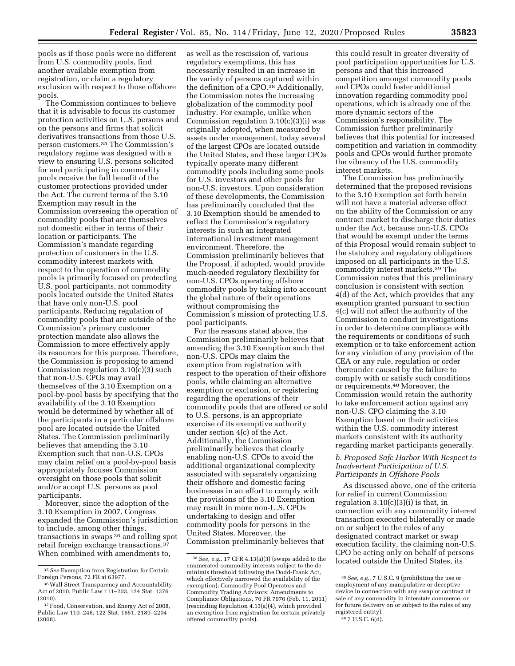pools as if those pools were no different from U.S. commodity pools, find another available exemption from registration, or claim a regulatory exclusion with respect to those offshore pools.

The Commission continues to believe that it is advisable to focus its customer protection activities on U.S. persons and on the persons and firms that solicit derivatives transactions from those U.S. person customers.35 The Commission's regulatory regime was designed with a view to ensuring U.S. persons solicited for and participating in commodity pools receive the full benefit of the customer protections provided under the Act. The current terms of the 3.10 Exemption may result in the Commission overseeing the operation of commodity pools that are themselves not domestic either in terms of their location or participants. The Commission's mandate regarding protection of customers in the U.S. commodity interest markets with respect to the operation of commodity pools is primarily focused on protecting U.S. pool participants, not commodity pools located outside the United States that have only non-U.S. pool participants. Reducing regulation of commodity pools that are outside of the Commission's primary customer protection mandate also allows the Commission to more effectively apply its resources for this purpose. Therefore, the Commission is proposing to amend Commission regulation 3.10(c)(3) such that non-U.S. CPOs may avail themselves of the 3.10 Exemption on a pool-by-pool basis by specifying that the availability of the 3.10 Exemption would be determined by whether all of the participants in a particular offshore pool are located outside the United States. The Commission preliminarily believes that amending the 3.10 Exemption such that non-U.S. CPOs may claim relief on a pool-by-pool basis appropriately focuses Commission oversight on those pools that solicit and/or accept U.S. persons as pool participants.

Moreover, since the adoption of the 3.10 Exemption in 2007, Congress expanded the Commission's jurisdiction to include, among other things, transactions in swaps 36 and rolling spot retail foreign exchange transactions.37 When combined with amendments to,

as well as the rescission of, various regulatory exemptions, this has necessarily resulted in an increase in the variety of persons captured within the definition of a CPO.<sup>38</sup> Additionally, the Commission notes the increasing globalization of the commodity pool industry. For example, unlike when Commission regulation  $3.10(c)(3)(i)$  was originally adopted, when measured by assets under management, today several of the largest CPOs are located outside the United States, and these larger CPOs typically operate many different commodity pools including some pools for U.S. investors and other pools for non-U.S. investors. Upon consideration of these developments, the Commission has preliminarily concluded that the 3.10 Exemption should be amended to reflect the Commission's regulatory interests in such an integrated international investment management environment. Therefore, the Commission preliminarily believes that the Proposal, if adopted, would provide much-needed regulatory flexibility for non-U.S. CPOs operating offshore commodity pools by taking into account the global nature of their operations without compromising the Commission's mission of protecting U.S. pool participants.

For the reasons stated above, the Commission preliminarily believes that amending the 3.10 Exemption such that non-U.S. CPOs may claim the exemption from registration with respect to the operation of their offshore pools, while claiming an alternative exemption or exclusion, or registering regarding the operations of their commodity pools that are offered or sold to U.S. persons, is an appropriate exercise of its exemptive authority under section 4(c) of the Act. Additionally, the Commission preliminarily believes that clearly enabling non-U.S. CPOs to avoid the additional organizational complexity associated with separately organizing their offshore and domestic facing businesses in an effort to comply with the provisions of the 3.10 Exemption may result in more non-U.S. CPOs undertaking to design and offer commodity pools for persons in the United States. Moreover, the Commission preliminarily believes that

this could result in greater diversity of pool participation opportunities for U.S. persons and that this increased competition amongst commodity pools and CPOs could foster additional innovation regarding commodity pool operations, which is already one of the more dynamic sectors of the Commission's responsibility. The Commission further preliminarily believes that this potential for increased competition and variation in commodity pools and CPOs would further promote the vibrancy of the U.S. commodity interest markets.

The Commission has preliminarily determined that the proposed revisions to the 3.10 Exemption set forth herein will not have a material adverse effect on the ability of the Commission or any contract market to discharge their duties under the Act, because non-U.S. CPOs that would be exempt under the terms of this Proposal would remain subject to the statutory and regulatory obligations imposed on all participants in the U.S. commodity interest markets.39 The Commission notes that this preliminary conclusion is consistent with section 4(d) of the Act, which provides that any exemption granted pursuant to section 4(c) will not affect the authority of the Commission to conduct investigations in order to determine compliance with the requirements or conditions of such exemption or to take enforcement action for any violation of any provision of the CEA or any rule, regulation or order thereunder caused by the failure to comply with or satisfy such conditions or requirements.40 Moreover, the Commission would retain the authority to take enforcement action against any non-U.S. CPO claiming the 3.10 Exemption based on their activities within the U.S. commodity interest markets consistent with its authority regarding market participants generally.

*b. Proposed Safe Harbor With Respect to Inadvertent Participation of U.S. Participants in Offshore Pools* 

As discussed above, one of the criteria for relief in current Commission regulation  $3.10(c)(3)(i)$  is that, in connection with any commodity interest transaction executed bilaterally or made on or subject to the rules of any designated contract market or swap execution facility, the claiming non-U.S. CPO be acting only on behalf of persons located outside the United States, its

<sup>35</sup>*See* Exemption from Registration for Certain Foreign Persons, 72 FR at 63977.

<sup>36</sup>Wall Street Transparency and Accountability Act of 2010, Public Law 111–203, 124 Stat. 1376 (2010).

<sup>37</sup>Food, Conservation, and Energy Act of 2008, Public Law 110–246, 122 Stat. 1651, 2189–2204 (2008).

<sup>38</sup>*See, e.g.,* 17 CFR 4.13(a)(3) (swaps added to the enumerated commodity interests subject to the de minimis threshold following the Dodd-Frank Act, which effectively narrowed the availability of the exemption); Commodity Pool Operators and Commodity Trading Advisors: Amendments to Compliance Obligations, 76 FR 7976 (Feb. 11, 2011) (rescinding Regulation 4.13(a)(4), which provided an exemption from registration for certain privately offered commodity pools).

<sup>39</sup>*See, e.g.,* 7 U.S.C. 9 (prohibiting the use or employment of any manipulative or deceptive device in connection with any swap or contract of sale of any commodity in interstate commerce, or for future delivery on or subject to the rules of any registered entity). 40 7 U.S.C. 6(d).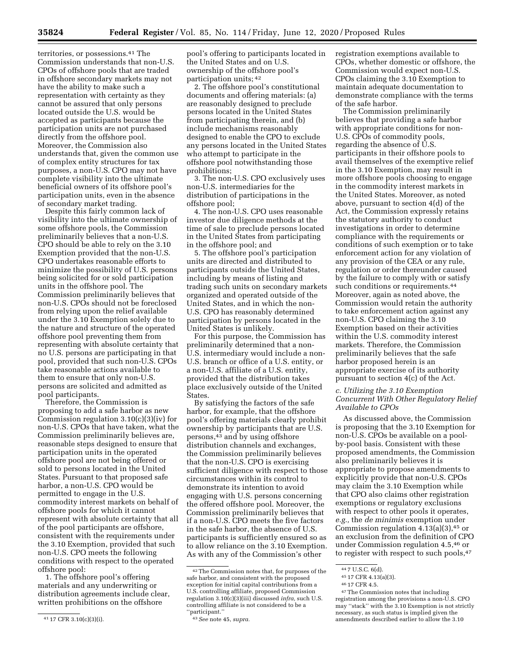territories, or possessions.41 The Commission understands that non-U.S. CPOs of offshore pools that are traded in offshore secondary markets may not have the ability to make such a representation with certainty as they cannot be assured that only persons located outside the U.S. would be accepted as participants because the participation units are not purchased directly from the offshore pool. Moreover, the Commission also understands that, given the common use of complex entity structures for tax purposes, a non-U.S. CPO may not have complete visibility into the ultimate beneficial owners of its offshore pool's participation units, even in the absence of secondary market trading.

Despite this fairly common lack of visibility into the ultimate ownership of some offshore pools, the Commission preliminarily believes that a non-U.S. CPO should be able to rely on the 3.10 Exemption provided that the non-U.S. CPO undertakes reasonable efforts to minimize the possibility of U.S. persons being solicited for or sold participation units in the offshore pool. The Commission preliminarily believes that non-U.S. CPOs should not be foreclosed from relying upon the relief available under the 3.10 Exemption solely due to the nature and structure of the operated offshore pool preventing them from representing with absolute certainty that no U.S. persons are participating in that pool, provided that such non-U.S. CPOs take reasonable actions available to them to ensure that only non-U.S. persons are solicited and admitted as pool participants.

Therefore, the Commission is proposing to add a safe harbor as new Commission regulation 3.10(c)(3)(iv) for non-U.S. CPOs that have taken, what the Commission preliminarily believes are, reasonable steps designed to ensure that participation units in the operated offshore pool are not being offered or sold to persons located in the United States. Pursuant to that proposed safe harbor, a non-U.S. CPO would be permitted to engage in the U.S. commodity interest markets on behalf of offshore pools for which it cannot represent with absolute certainty that all of the pool participants are offshore, consistent with the requirements under the 3.10 Exemption, provided that such non-U.S. CPO meets the following conditions with respect to the operated offshore pool:

1. The offshore pool's offering materials and any underwriting or distribution agreements include clear, written prohibitions on the offshore

pool's offering to participants located in the United States and on U.S. ownership of the offshore pool's participation units; 42

2. The offshore pool's constitutional documents and offering materials: (a) are reasonably designed to preclude persons located in the United States from participating therein, and (b) include mechanisms reasonably designed to enable the CPO to exclude any persons located in the United States who attempt to participate in the offshore pool notwithstanding those prohibitions;

3. The non-U.S. CPO exclusively uses non-U.S. intermediaries for the distribution of participations in the offshore pool;

4. The non-U.S. CPO uses reasonable investor due diligence methods at the time of sale to preclude persons located in the United States from participating in the offshore pool; and

5. The offshore pool's participation units are directed and distributed to participants outside the United States, including by means of listing and trading such units on secondary markets organized and operated outside of the United States, and in which the non-U.S. CPO has reasonably determined participation by persons located in the United States is unlikely.

For this purpose, the Commission has preliminarily determined that a non-U.S. intermediary would include a non-U.S. branch or office of a U.S. entity, or a non-U.S. affiliate of a U.S. entity, provided that the distribution takes place exclusively outside of the United States.

By satisfying the factors of the safe harbor, for example, that the offshore pool's offering materials clearly prohibit ownership by participants that are U.S. persons,43 and by using offshore distribution channels and exchanges, the Commission preliminarily believes that the non-U.S. CPO is exercising sufficient diligence with respect to those circumstances within its control to demonstrate its intention to avoid engaging with U.S. persons concerning the offered offshore pool. Moreover, the Commission preliminarily believes that if a non-U.S. CPO meets the five factors in the safe harbor, the absence of U.S. participants is sufficiently ensured so as to allow reliance on the 3.10 Exemption. As with any of the Commission's other

registration exemptions available to CPOs, whether domestic or offshore, the Commission would expect non-U.S. CPOs claiming the 3.10 Exemption to maintain adequate documentation to demonstrate compliance with the terms of the safe harbor.

The Commission preliminarily believes that providing a safe harbor with appropriate conditions for non-U.S. CPOs of commodity pools, regarding the absence of U.S. participants in their offshore pools to avail themselves of the exemptive relief in the 3.10 Exemption, may result in more offshore pools choosing to engage in the commodity interest markets in the United States. Moreover, as noted above, pursuant to section 4(d) of the Act, the Commission expressly retains the statutory authority to conduct investigations in order to determine compliance with the requirements or conditions of such exemption or to take enforcement action for any violation of any provision of the CEA or any rule, regulation or order thereunder caused by the failure to comply with or satisfy such conditions or requirements.<sup>44</sup> Moreover, again as noted above, the Commission would retain the authority to take enforcement action against any non-U.S. CPO claiming the 3.10 Exemption based on their activities within the U.S. commodity interest markets. Therefore, the Commission preliminarily believes that the safe harbor proposed herein is an appropriate exercise of its authority pursuant to section 4(c) of the Act.

## *c. Utilizing the 3.10 Exemption Concurrent With Other Regulatory Relief Available to CPOs*

As discussed above, the Commission is proposing that the 3.10 Exemption for non-U.S. CPOs be available on a poolby-pool basis. Consistent with these proposed amendments, the Commission also preliminarily believes it is appropriate to propose amendments to explicitly provide that non-U.S. CPOs may claim the 3.10 Exemption while that CPO also claims other registration exemptions or regulatory exclusions with respect to other pools it operates, *e.g.,* the *de minimis* exemption under Commission regulation  $4.13(a)(3),$ <sup>45</sup> or an exclusion from the definition of CPO under Commission regulation 4.5,46 or to register with respect to such pools, 47

<sup>41</sup> 17 CFR 3.10(c)(3)(i).

<sup>42</sup>The Commission notes that, for purposes of the safe harbor, and consistent with the proposed exception for initial capital contributions from a U.S. controlling affiliate, proposed Commission regulation 3.10(c)(3)(iii) discussed *infra,* such U.S. controlling affiliate is not considered to be a ''participant.''

<sup>43</sup>*See* note 45, *supra.* 

<sup>44</sup> 7 U.S.C. 6(d).

<sup>45</sup> 17 CFR 4.13(a)(3).

<sup>46</sup> 17 CFR 4.5.

<sup>47</sup>The Commission notes that including registration among the provisions a non-U.S. CPO may ''stack'' with the 3.10 Exemption is not strictly necessary, as such status is implied given the amendments described earlier to allow the 3.10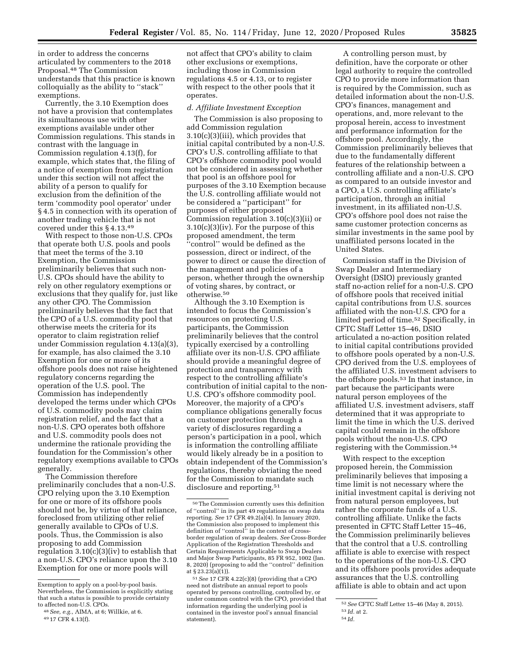in order to address the concerns articulated by commenters to the 2018 Proposal.48 The Commission understands that this practice is known colloquially as the ability to ''stack'' exemptions.

Currently, the 3.10 Exemption does not have a provision that contemplates its simultaneous use with other exemptions available under other Commission regulations. This stands in contrast with the language in Commission regulation 4.13(f), for example, which states that, the filing of a notice of exemption from registration under this section will not affect the ability of a person to qualify for exclusion from the definition of the term 'commodity pool operator' under § 4.5 in connection with its operation of another trading vehicle that is not covered under this § 4.13.49

With respect to those non-U.S. CPOs that operate both U.S. pools and pools that meet the terms of the 3.10 Exemption, the Commission preliminarily believes that such non-U.S. CPOs should have the ability to rely on other regulatory exemptions or exclusions that they qualify for, just like any other CPO. The Commission preliminarily believes that the fact that the CPO of a U.S. commodity pool that otherwise meets the criteria for its operator to claim registration relief under Commission regulation 4.13(a)(3), for example, has also claimed the 3.10 Exemption for one or more of its offshore pools does not raise heightened regulatory concerns regarding the operation of the U.S. pool. The Commission has independently developed the terms under which CPOs of U.S. commodity pools may claim registration relief, and the fact that a non-U.S. CPO operates both offshore and U.S. commodity pools does not undermine the rationale providing the foundation for the Commission's other regulatory exemptions available to CPOs generally.

The Commission therefore preliminarily concludes that a non-U.S. CPO relying upon the 3.10 Exemption for one or more of its offshore pools should not be, by virtue of that reliance, foreclosed from utilizing other relief generally available to CPOs of U.S. pools. Thus, the Commission is also proposing to add Commission regulation 3.10(c)(3)(iv) to establish that a non-U.S. CPO's reliance upon the 3.10 Exemption for one or more pools will

not affect that CPO's ability to claim other exclusions or exemptions, including those in Commission regulations 4.5 or 4.13, or to register with respect to the other pools that it operates.

#### *d. Affiliate Investment Exception*

The Commission is also proposing to add Commission regulation 3.10(c)(3)(iii), which provides that initial capital contributed by a non-U.S. CPO's U.S. controlling affiliate to that CPO's offshore commodity pool would not be considered in assessing whether that pool is an offshore pool for purposes of the 3.10 Exemption because the U.S. controlling affiliate would not be considered a ''participant'' for purposes of either proposed Commission regulation 3.10(c)(3)(ii) or 3.10(c)(3)(iv). For the purpose of this proposed amendment, the term ''control'' would be defined as the possession, direct or indirect, of the power to direct or cause the direction of the management and policies of a person, whether through the ownership of voting shares, by contract, or otherwise.50

Although the 3.10 Exemption is intended to focus the Commission's resources on protecting U.S. participants, the Commission preliminarily believes that the control typically exercised by a controlling affiliate over its non-U.S. CPO affiliate should provide a meaningful degree of protection and transparency with respect to the controlling affiliate's contribution of initial capital to the non-U.S. CPO's offshore commodity pool. Moreover, the majority of a CPO's compliance obligations generally focus on customer protection through a variety of disclosures regarding a person's participation in a pool, which is information the controlling affiliate would likely already be in a position to obtain independent of the Commission's regulations, thereby obviating the need for the Commission to mandate such disclosure and reporting.51

A controlling person must, by definition, have the corporate or other legal authority to require the controlled CPO to provide more information than is required by the Commission, such as detailed information about the non-U.S. CPO's finances, management and operations, and, more relevant to the proposal herein, access to investment and performance information for the offshore pool. Accordingly, the Commission preliminarily believes that due to the fundamentally different features of the relationship between a controlling affiliate and a non-U.S. CPO as compared to an outside investor and a CPO, a U.S. controlling affiliate's participation, through an initial investment, in its affiliated non-U.S. CPO's offshore pool does not raise the same customer protection concerns as similar investments in the same pool by unaffiliated persons located in the United States.

Commission staff in the Division of Swap Dealer and Intermediary Oversight (DSIO) previously granted staff no-action relief for a non-U.S. CPO of offshore pools that received initial capital contributions from U.S. sources affiliated with the non-U.S. CPO for a limited period of time.52 Specifically, in CFTC Staff Letter 15–46, DSIO articulated a no-action position related to initial capital contributions provided to offshore pools operated by a non-U.S. CPO derived from the U.S. employees of the affiliated U.S. investment advisers to the offshore pools.53 In that instance, in part because the participants were natural person employees of the affiliated U.S. investment advisers, staff determined that it was appropriate to limit the time in which the U.S. derived capital could remain in the offshore pools without the non-U.S. CPO registering with the Commission.54

With respect to the exception proposed herein, the Commission preliminarily believes that imposing a time limit is not necessary where the initial investment capital is deriving not from natural person employees, but rather the corporate funds of a U.S. controlling affiliate. Unlike the facts presented in CFTC Staff Letter 15–46, the Commission preliminarily believes that the control that a U.S. controlling affiliate is able to exercise with respect to the operations of the non-U.S. CPO and its offshore pools provides adequate assurances that the U.S. controlling affiliate is able to obtain and act upon

Exemption to apply on a pool-by-pool basis. Nevertheless, the Commission is explicitly stating that such a status is possible to provide certainty

<sup>&</sup>lt;sup>48</sup> See, e.g., AIMA, at 6; Willkie, at 6. 49 17 CFR 4.13(f).

<sup>50</sup>The Commission currently uses this definition of ''control'' in its part 49 regulations on swap data reporting. *See* 17 CFR 49.2(a)(4). In January 2020, the Commission also proposed to implement this definition of ''control'' in the context of crossborder regulation of swap dealers. *See* Cross-Border Application of the Registration Thresholds and Certain Requirements Applicable to Swap Dealers and Major Swap Participants, 85 FR 952, 1002 (Jan. 8, 2020) (proposing to add the ''control'' definition at § 23.23(a)(1)).

<sup>51</sup>*See* 17 CFR 4.22(c)(8) (providing that a CPO need not distribute an annual report to pools operated by persons controlling, controlled by, or under common control with the CPO, provided that information regarding the underlying pool is contained in the investor pool's annual financial statement).

<sup>52</sup>*See* CFTC Staff Letter 15–46 (May 8, 2015). 53 *Id.* at 2.

<sup>54</sup> *Id.*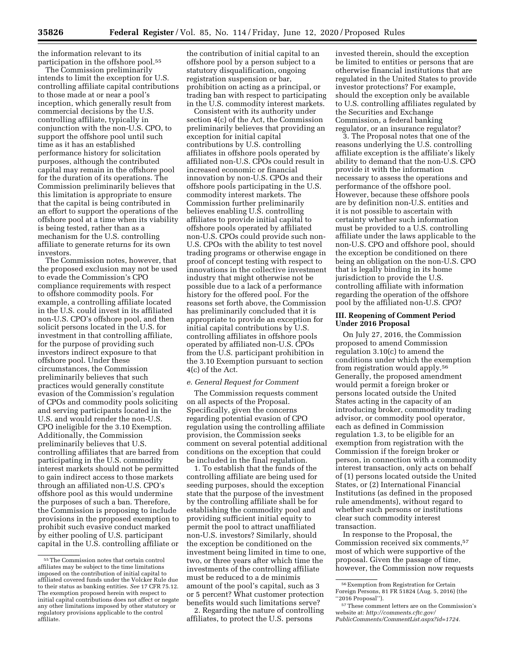the information relevant to its participation in the offshore pool.55

The Commission preliminarily intends to limit the exception for U.S. controlling affiliate capital contributions to those made at or near a pool's inception, which generally result from commercial decisions by the U.S. controlling affiliate, typically in conjunction with the non-U.S. CPO, to support the offshore pool until such time as it has an established performance history for solicitation purposes, although the contributed capital may remain in the offshore pool for the duration of its operations. The Commission preliminarily believes that this limitation is appropriate to ensure that the capital is being contributed in an effort to support the operations of the offshore pool at a time when its viability is being tested, rather than as a mechanism for the U.S. controlling affiliate to generate returns for its own investors.

The Commission notes, however, that the proposed exclusion may not be used to evade the Commission's CPO compliance requirements with respect to offshore commodity pools. For example, a controlling affiliate located in the U.S. could invest in its affiliated non-U.S. CPO's offshore pool, and then solicit persons located in the U.S. for investment in that controlling affiliate, for the purpose of providing such investors indirect exposure to that offshore pool. Under these circumstances, the Commission preliminarily believes that such practices would generally constitute evasion of the Commission's regulation of CPOs and commodity pools soliciting and serving participants located in the U.S. and would render the non-U.S. CPO ineligible for the 3.10 Exemption. Additionally, the Commission preliminarily believes that U.S. controlling affiliates that are barred from participating in the U.S. commodity interest markets should not be permitted to gain indirect access to those markets through an affiliated non-U.S. CPO's offshore pool as this would undermine the purposes of such a ban. Therefore, the Commission is proposing to include provisions in the proposed exemption to prohibit such evasive conduct marked by either pooling of U.S. participant capital in the U.S. controlling affiliate or

the contribution of initial capital to an offshore pool by a person subject to a statutory disqualification, ongoing registration suspension or bar, prohibition on acting as a principal, or trading ban with respect to participating in the U.S. commodity interest markets.

Consistent with its authority under section 4(c) of the Act, the Commission preliminarily believes that providing an exception for initial capital contributions by U.S. controlling affiliates in offshore pools operated by affiliated non-U.S. CPOs could result in increased economic or financial innovation by non-U.S. CPOs and their offshore pools participating in the U.S. commodity interest markets. The Commission further preliminarily believes enabling U.S. controlling affiliates to provide initial capital to offshore pools operated by affiliated non-U.S. CPOs could provide such non-U.S. CPOs with the ability to test novel trading programs or otherwise engage in proof of concept testing with respect to innovations in the collective investment industry that might otherwise not be possible due to a lack of a performance history for the offered pool. For the reasons set forth above, the Commission has preliminarily concluded that it is appropriate to provide an exception for initial capital contributions by U.S. controlling affiliates in offshore pools operated by affiliated non-U.S. CPOs from the U.S. participant prohibition in the 3.10 Exemption pursuant to section 4(c) of the Act.

#### *e. General Request for Comment*

The Commission requests comment on all aspects of the Proposal. Specifically, given the concerns regarding potential evasion of CPO regulation using the controlling affiliate provision, the Commission seeks comment on several potential additional conditions on the exception that could be included in the final regulation.

1. To establish that the funds of the controlling affiliate are being used for seeding purposes, should the exception state that the purpose of the investment by the controlling affiliate shall be for establishing the commodity pool and providing sufficient initial equity to permit the pool to attract unaffiliated non-U.S. investors? Similarly, should the exception be conditioned on the investment being limited in time to one, two, or three years after which time the investments of the controlling affiliate must be reduced to a de minimis amount of the pool's capital, such as 3 or 5 percent? What customer protection benefits would such limitations serve?

2. Regarding the nature of controlling affiliates, to protect the U.S. persons

invested therein, should the exception be limited to entities or persons that are otherwise financial institutions that are regulated in the United States to provide investor protections? For example, should the exception only be available to U.S. controlling affiliates regulated by the Securities and Exchange Commission, a federal banking regulator, or an insurance regulator?

3. The Proposal notes that one of the reasons underlying the U.S. controlling affiliate exception is the affiliate's likely ability to demand that the non-U.S. CPO provide it with the information necessary to assess the operations and performance of the offshore pool. However, because these offshore pools are by definition non-U.S. entities and it is not possible to ascertain with certainty whether such information must be provided to a U.S. controlling affiliate under the laws applicable to the non-U.S. CPO and offshore pool, should the exception be conditioned on there being an obligation on the non-U.S. CPO that is legally binding in its home jurisdiction to provide the U.S. controlling affiliate with information regarding the operation of the offshore pool by the affiliated non-U.S. CPO?

#### **III. Reopening of Comment Period Under 2016 Proposal**

On July 27, 2016, the Commission proposed to amend Commission regulation 3.10(c) to amend the conditions under which the exemption from registration would apply.56 Generally, the proposed amendment would permit a foreign broker or persons located outside the United States acting in the capacity of an introducing broker, commodity trading advisor, or commodity pool operator, each as defined in Commission regulation 1.3, to be eligible for an exemption from registration with the Commission if the foreign broker or person, in connection with a commodity interest transaction, only acts on behalf of (1) persons located outside the United States, or (2) International Financial Institutions (as defined in the proposed rule amendments), without regard to whether such persons or institutions clear such commodity interest transaction.

In response to the Proposal, the Commission received six comments,57 most of which were supportive of the proposal. Given the passage of time, however, the Commission now requests

<sup>55</sup>The Commission notes that certain control affiliates may be subject to the time limitations imposed on the contribution of initial capital to affiliated covered funds under the Volcker Rule due to their status as banking entities. *See* 17 CFR 75.12. The exemption proposed herein with respect to initial capital contributions does not affect or negate any other limitations imposed by other statutory or regulatory provisions applicable to the control affiliate.

 $^{56}\rm{Exemption}$  from Registration for Certain Foreign Persons, 81 FR 51824 (Aug. 5, 2016) (the ''2016 Proposal'').

<sup>57</sup>These comment letters are on the Commission's website at: *[http://comments.cftc.gov/](http://comments.cftc.gov/PublicComments/CommentList.aspx?id=1724)* 

*[PublicComments/CommentList.aspx?id=1724.](http://comments.cftc.gov/PublicComments/CommentList.aspx?id=1724)*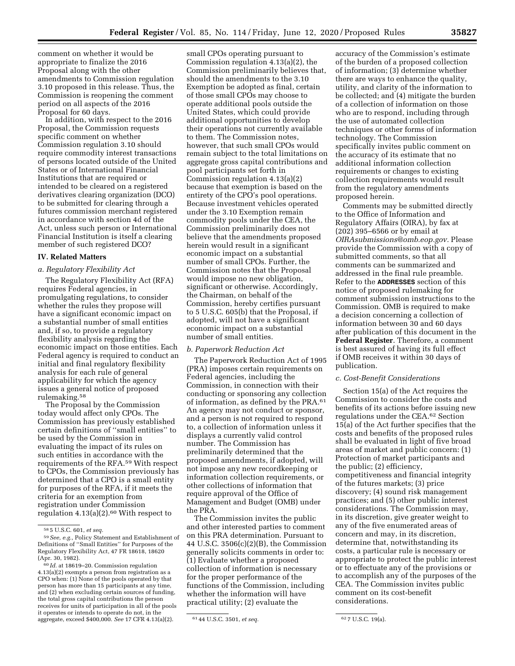comment on whether it would be appropriate to finalize the 2016 Proposal along with the other amendments to Commission regulation 3.10 proposed in this release. Thus, the Commission is reopening the comment period on all aspects of the 2016 Proposal for 60 days.

In addition, with respect to the 2016 Proposal, the Commission requests specific comment on whether Commission regulation 3.10 should require commodity interest transactions of persons located outside of the United States or of International Financial Institutions that are required or intended to be cleared on a registered derivatives clearing organization (DCO) to be submitted for clearing through a futures commission merchant registered in accordance with section 4d of the Act, unless such person or International Financial Institution is itself a clearing member of such registered DCO?

#### **IV. Related Matters**

#### *a. Regulatory Flexibility Act*

The Regulatory Flexibility Act (RFA) requires Federal agencies, in promulgating regulations, to consider whether the rules they propose will have a significant economic impact on a substantial number of small entities and, if so, to provide a regulatory flexibility analysis regarding the economic impact on those entities. Each Federal agency is required to conduct an initial and final regulatory flexibility analysis for each rule of general applicability for which the agency issues a general notice of proposed rulemaking.58

The Proposal by the Commission today would affect only CPOs. The Commission has previously established certain definitions of ''small entities'' to be used by the Commission in evaluating the impact of its rules on such entities in accordance with the requirements of the RFA.59 With respect to CPOs, the Commission previously has determined that a CPO is a small entity for purposes of the RFA, if it meets the criteria for an exemption from registration under Commission regulation  $4.13(a)(2).<sup>60</sup>$  With respect to

small CPOs operating pursuant to Commission regulation 4.13(a)(2), the Commission preliminarily believes that, should the amendments to the 3.10 Exemption be adopted as final, certain of those small CPOs may choose to operate additional pools outside the United States, which could provide additional opportunities to develop their operations not currently available to them. The Commission notes, however, that such small CPOs would remain subject to the total limitations on aggregate gross capital contributions and pool participants set forth in Commission regulation 4.13(a)(2) because that exemption is based on the entirety of the CPO's pool operations. Because investment vehicles operated under the 3.10 Exemption remain commodity pools under the CEA, the Commission preliminarily does not believe that the amendments proposed herein would result in a significant economic impact on a substantial number of small CPOs. Further, the Commission notes that the Proposal would impose no new obligation, significant or otherwise. Accordingly, the Chairman, on behalf of the Commission, hereby certifies pursuant to 5 U.S.C. 605(b) that the Proposal, if adopted, will not have a significant economic impact on a substantial number of small entities.

# *b. Paperwork Reduction Act*

The Paperwork Reduction Act of 1995 (PRA) imposes certain requirements on Federal agencies, including the Commission, in connection with their conducting or sponsoring any collection of information, as defined by the PRA.61 An agency may not conduct or sponsor, and a person is not required to respond to, a collection of information unless it displays a currently valid control number. The Commission has preliminarily determined that the proposed amendments, if adopted, will not impose any new recordkeeping or information collection requirements, or other collections of information that require approval of the Office of Management and Budget (OMB) under the PRA.

The Commission invites the public and other interested parties to comment on this PRA determination. Pursuant to 44 U.S.C. 3506(c)(2)(B), the Commission generally solicits comments in order to: (1) Evaluate whether a proposed collection of information is necessary for the proper performance of the functions of the Commission, including whether the information will have practical utility; (2) evaluate the

accuracy of the Commission's estimate of the burden of a proposed collection of information; (3) determine whether there are ways to enhance the quality, utility, and clarity of the information to be collected; and (4) mitigate the burden of a collection of information on those who are to respond, including through the use of automated collection techniques or other forms of information technology. The Commission specifically invites public comment on the accuracy of its estimate that no additional information collection requirements or changes to existing collection requirements would result from the regulatory amendments proposed herein.

Comments may be submitted directly to the Office of Information and Regulatory Affairs (OIRA), by fax at (202) 395–6566 or by email at *[OIRAsubmissions@omb.eop.gov.](mailto:OIRAsubmissions@omb.eop.gov)* Please provide the Commission with a copy of submitted comments, so that all comments can be summarized and addressed in the final rule preamble. Refer to the **ADDRESSES** section of this notice of proposed rulemaking for comment submission instructions to the Commission. OMB is required to make a decision concerning a collection of information between 30 and 60 days after publication of this document in the **Federal Register**. Therefore, a comment is best assured of having its full effect if OMB receives it within 30 days of publication.

#### *c. Cost-Benefit Considerations*

Section 15(a) of the Act requires the Commission to consider the costs and benefits of its actions before issuing new regulations under the CEA.62 Section 15(a) of the Act further specifies that the costs and benefits of the proposed rules shall be evaluated in light of five broad areas of market and public concern: (1) Protection of market participants and the public; (2) efficiency, competitiveness and financial integrity of the futures markets; (3) price discovery; (4) sound risk management practices; and (5) other public interest considerations. The Commission may, in its discretion, give greater weight to any of the five enumerated areas of concern and may, in its discretion, determine that, notwithstanding its costs, a particular rule is necessary or appropriate to protect the public interest or to effectuate any of the provisions or to accomplish any of the purposes of the CEA. The Commission invites public comment on its cost-benefit considerations.

<sup>58</sup> 5 U.S.C. 601, *et seq.* 

<sup>59</sup>*See, e.g.,* Policy Statement and Establishment of Definitions of ''Small Entities'' for Purposes of the Regulatory Flexibility Act, 47 FR 18618, 18620 (Apr. 30, 1982).

<sup>60</sup> *Id.* at 18619–20. Commission regulation 4.13(a)(2) exempts a person from registration as a CPO when: (1) None of the pools operated by that person has more than 15 participants at any time, and (2) when excluding certain sources of funding, the total gross capital contributions the person receives for units of participation in all of the pools it operates or intends to operate do not, in the aggregate, exceed \$400,000. *See* 17 CFR 4.13(a)(2). 61 44 U.S.C. 3501, *et seq.* 62 7 U.S.C. 19(a).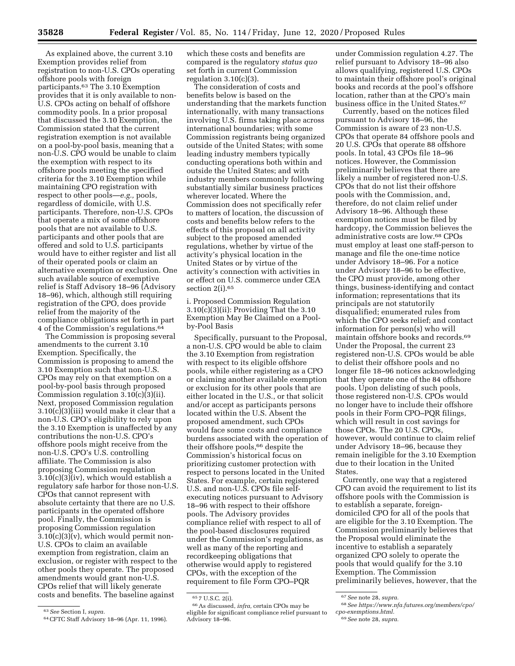As explained above, the current 3.10 Exemption provides relief from registration to non-U.S. CPOs operating offshore pools with foreign participants.63 The 3.10 Exemption provides that it is only available to non-U.S. CPOs acting on behalf of offshore commodity pools. In a prior proposal that discussed the 3.10 Exemption, the Commission stated that the current registration exemption is not available on a pool-by-pool basis, meaning that a non-U.S. CPO would be unable to claim the exemption with respect to its offshore pools meeting the specified criteria for the 3.10 Exemption while maintaining CPO registration with respect to other pools—*e.g.,* pools, regardless of domicile, with U.S. participants. Therefore, non-U.S. CPOs that operate a mix of some offshore pools that are not available to U.S. participants and other pools that are offered and sold to U.S. participants would have to either register and list all of their operated pools or claim an alternative exemption or exclusion. One such available source of exemptive relief is Staff Advisory 18–96 (Advisory 18–96), which, although still requiring registration of the CPO, does provide relief from the majority of the compliance obligations set forth in part 4 of the Commission's regulations.64

The Commission is proposing several amendments to the current 3.10 Exemption. Specifically, the Commission is proposing to amend the 3.10 Exemption such that non-U.S. CPOs may rely on that exemption on a pool-by-pool basis through proposed Commission regulation 3.10(c)(3)(ii). Next, proposed Commission regulation 3.10(c)(3)(iii) would make it clear that a non-U.S. CPO's eligibility to rely upon the 3.10 Exemption is unaffected by any contributions the non-U.S. CPO's offshore pools might receive from the non-U.S. CPO's U.S. controlling affiliate. The Commission is also proposing Commission regulation 3.10(c)(3)(iv), which would establish a regulatory safe harbor for those non-U.S. CPOs that cannot represent with absolute certainty that there are no U.S. participants in the operated offshore pool. Finally, the Commission is proposing Commission regulation  $3.10(c)(3)(v)$ , which would permit non-U.S. CPOs to claim an available exemption from registration, claim an exclusion, or register with respect to the other pools they operate. The proposed amendments would grant non-U.S. CPOs relief that will likely generate costs and benefits. The baseline against

which these costs and benefits are compared is the regulatory *status quo*  set forth in current Commission regulation  $3.10(c)(3)$ .

The consideration of costs and benefits below is based on the understanding that the markets function internationally, with many transactions involving U.S. firms taking place across international boundaries; with some Commission registrants being organized outside of the United States; with some leading industry members typically conducting operations both within and outside the United States; and with industry members commonly following substantially similar business practices wherever located. Where the Commission does not specifically refer to matters of location, the discussion of costs and benefits below refers to the effects of this proposal on all activity subject to the proposed amended regulations, whether by virtue of the activity's physical location in the United States or by virtue of the activity's connection with activities in or effect on U.S. commerce under CEA section 2(i).<sup>65</sup>

i. Proposed Commission Regulation 3.10(c)(3)(ii): Providing That the 3.10 Exemption May Be Claimed on a Poolby-Pool Basis

Specifically, pursuant to the Proposal, a non-U.S. CPO would be able to claim the 3.10 Exemption from registration with respect to its eligible offshore pools, while either registering as a CPO or claiming another available exemption or exclusion for its other pools that are either located in the U.S., or that solicit and/or accept as participants persons located within the U.S. Absent the proposed amendment, such CPOs would face some costs and compliance burdens associated with the operation of their offshore pools,<sup>66</sup> despite the Commission's historical focus on prioritizing customer protection with respect to persons located in the United States. For example, certain registered U.S. and non-U.S. CPOs file selfexecuting notices pursuant to Advisory 18–96 with respect to their offshore pools. The Advisory provides compliance relief with respect to all of the pool-based disclosures required under the Commission's regulations, as well as many of the reporting and recordkeeping obligations that otherwise would apply to registered CPOs, with the exception of the requirement to file Form CPO–PQR

under Commission regulation 4.27. The relief pursuant to Advisory 18–96 also allows qualifying, registered U.S. CPOs to maintain their offshore pool's original books and records at the pool's offshore location, rather than at the CPO's main business office in the United States.67

Currently, based on the notices filed pursuant to Advisory 18–96, the Commission is aware of 23 non-U.S. CPOs that operate 84 offshore pools and 20 U.S. CPOs that operate 88 offshore pools. In total, 43 CPOs file 18–96 notices. However, the Commission preliminarily believes that there are likely a number of registered non-U.S. CPOs that do not list their offshore pools with the Commission, and, therefore, do not claim relief under Advisory 18–96. Although these exemption notices must be filed by hardcopy, the Commission believes the administrative costs are low.68 CPOs must employ at least one staff-person to manage and file the one-time notice under Advisory 18–96. For a notice under Advisory 18–96 to be effective, the CPO must provide, among other things, business-identifying and contact information; representations that its principals are not statutorily disqualified; enumerated rules from which the CPO seeks relief; and contact information for person(s) who will maintain offshore books and records.69 Under the Proposal, the current 23 registered non-U.S. CPOs would be able to delist their offshore pools and no longer file 18–96 notices acknowledging that they operate one of the 84 offshore pools. Upon delisting of such pools, those registered non-U.S. CPOs would no longer have to include their offshore pools in their Form CPO–PQR filings, which will result in cost savings for those CPOs. The 20 U.S. CPOs, however, would continue to claim relief under Advisory 18–96, because they remain ineligible for the 3.10 Exemption due to their location in the United States.

Currently, one way that a registered CPO can avoid the requirement to list its offshore pools with the Commission is to establish a separate, foreigndomiciled CPO for all of the pools that are eligible for the 3.10 Exemption. The Commission preliminarily believes that the Proposal would eliminate the incentive to establish a separately organized CPO solely to operate the pools that would qualify for the 3.10 Exemption. The Commission preliminarily believes, however, that the

<sup>63</sup>*See* Section I, *supra.* 

<sup>64</sup>CFTC Staff Advisory 18–96 (Apr. 11, 1996).

<sup>65</sup> 7 U.S.C. 2(i).

<sup>66</sup>As discussed, *infra,* certain CPOs may be eligible for significant compliance relief pursuant to Advisory 18–96.

<sup>67</sup>*See* note 28, *supra.* 

<sup>68</sup>*See [https://www.nfa.futures.org/members/cpo/](https://www.nfa.futures.org/members/cpo/cpo-exemptions.html) [cpo-exemptions.html.](https://www.nfa.futures.org/members/cpo/cpo-exemptions.html)* 

<sup>69</sup>*See* note 28, *supra.*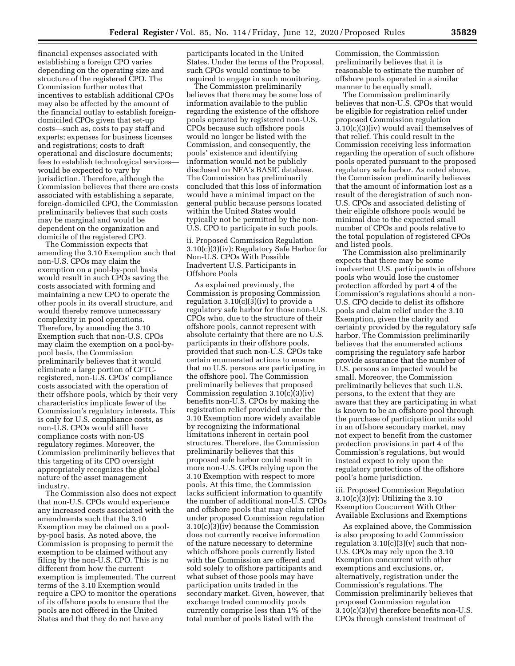financial expenses associated with establishing a foreign CPO varies depending on the operating size and structure of the registered CPO. The Commission further notes that incentives to establish additional CPOs may also be affected by the amount of the financial outlay to establish foreigndomiciled CPOs given that set-up costs—such as, costs to pay staff and experts; expenses for business licenses and registrations; costs to draft operational and disclosure documents; fees to establish technological services would be expected to vary by jurisdiction. Therefore, although the Commission believes that there are costs associated with establishing a separate, foreign-domiciled CPO, the Commission preliminarily believes that such costs may be marginal and would be dependent on the organization and domicile of the registered CPO.

The Commission expects that amending the 3.10 Exemption such that non-U.S. CPOs may claim the exemption on a pool-by-pool basis would result in such CPOs saving the costs associated with forming and maintaining a new CPO to operate the other pools in its overall structure, and would thereby remove unnecessary complexity in pool operations. Therefore, by amending the 3.10 Exemption such that non-U.S. CPOs may claim the exemption on a pool-bypool basis, the Commission preliminarily believes that it would eliminate a large portion of CFTCregistered, non-U.S. CPOs' compliance costs associated with the operation of their offshore pools, which by their very characteristics implicate fewer of the Commission's regulatory interests. This is only for U.S. compliance costs, as non-U.S. CPOs would still have compliance costs with non-US regulatory regimes. Moreover, the Commission preliminarily believes that this targeting of its CPO oversight appropriately recognizes the global nature of the asset management industry.

The Commission also does not expect that non-U.S. CPOs would experience any increased costs associated with the amendments such that the 3.10 Exemption may be claimed on a poolby-pool basis. As noted above, the Commission is proposing to permit the exemption to be claimed without any filing by the non-U.S. CPO. This is no different from how the current exemption is implemented. The current terms of the 3.10 Exemption would require a CPO to monitor the operations of its offshore pools to ensure that the pools are not offered in the United States and that they do not have any

participants located in the United States. Under the terms of the Proposal, such CPOs would continue to be required to engage in such monitoring.

The Commission preliminarily believes that there may be some loss of information available to the public regarding the existence of the offshore pools operated by registered non-U.S. CPOs because such offshore pools would no longer be listed with the Commission, and consequently, the pools' existence and identifying information would not be publicly disclosed on NFA's BASIC database. The Commission has preliminarily concluded that this loss of information would have a minimal impact on the general public because persons located within the United States would typically not be permitted by the non-U.S. CPO to participate in such pools.

ii. Proposed Commission Regulation 3.10(c)(3)(iv): Regulatory Safe Harbor for Non-U.S. CPOs With Possible Inadvertent U.S. Participants in Offshore Pools

As explained previously, the Commission is proposing Commission regulation  $3.10(c)(3)(iv)$  to provide a regulatory safe harbor for those non-U.S. CPOs who, due to the structure of their offshore pools, cannot represent with absolute certainty that there are no U.S. participants in their offshore pools, provided that such non-U.S. CPOs take certain enumerated actions to ensure that no U.S. persons are participating in the offshore pool. The Commission preliminarily believes that proposed Commission regulation 3.10(c)(3)(iv) benefits non-U.S. CPOs by making the registration relief provided under the 3.10 Exemption more widely available by recognizing the informational limitations inherent in certain pool structures. Therefore, the Commission preliminarily believes that this proposed safe harbor could result in more non-U.S. CPOs relying upon the 3.10 Exemption with respect to more pools. At this time, the Commission lacks sufficient information to quantify the number of additional non-U.S. CPOs and offshore pools that may claim relief under proposed Commission regulation 3.10(c)(3)(iv) because the Commission does not currently receive information of the nature necessary to determine which offshore pools currently listed with the Commission are offered and sold solely to offshore participants and what subset of those pools may have participation units traded in the secondary market. Given, however, that exchange traded commodity pools currently comprise less than 1% of the total number of pools listed with the

Commission, the Commission preliminarily believes that it is reasonable to estimate the number of offshore pools operated in a similar manner to be equally small.

The Commission preliminarily believes that non-U.S. CPOs that would be eligible for registration relief under proposed Commission regulation 3.10(c)(3)(iv) would avail themselves of that relief. This could result in the Commission receiving less information regarding the operation of such offshore pools operated pursuant to the proposed regulatory safe harbor. As noted above, the Commission preliminarily believes that the amount of information lost as a result of the deregistration of such non-U.S. CPOs and associated delisting of their eligible offshore pools would be minimal due to the expected small number of CPOs and pools relative to the total population of registered CPOs and listed pools.

The Commission also preliminarily expects that there may be some inadvertent U.S. participants in offshore pools who would lose the customer protection afforded by part 4 of the Commission's regulations should a non-U.S. CPO decide to delist its offshore pools and claim relief under the 3.10 Exemption, given the clarity and certainty provided by the regulatory safe harbor. The Commission preliminarily believes that the enumerated actions comprising the regulatory safe harbor provide assurance that the number of U.S. persons so impacted would be small. Moreover, the Commission preliminarily believes that such U.S. persons, to the extent that they are aware that they are participating in what is known to be an offshore pool through the purchase of participation units sold in an offshore secondary market, may not expect to benefit from the customer protection provisions in part 4 of the Commission's regulations, but would instead expect to rely upon the regulatory protections of the offshore pool's home jurisdiction.

iii. Proposed Commission Regulation 3.10(c)(3)(v): Utilizing the 3.10 Exemption Concurrent With Other Available Exclusions and Exemptions

As explained above, the Commission is also proposing to add Commission regulation  $3.10(c)(3)(v)$  such that non-U.S. CPOs may rely upon the 3.10 Exemption concurrent with other exemptions and exclusions, or, alternatively, registration under the Commission's regulations. The Commission preliminarily believes that proposed Commission regulation 3.10(c)(3)(v) therefore benefits non-U.S. CPOs through consistent treatment of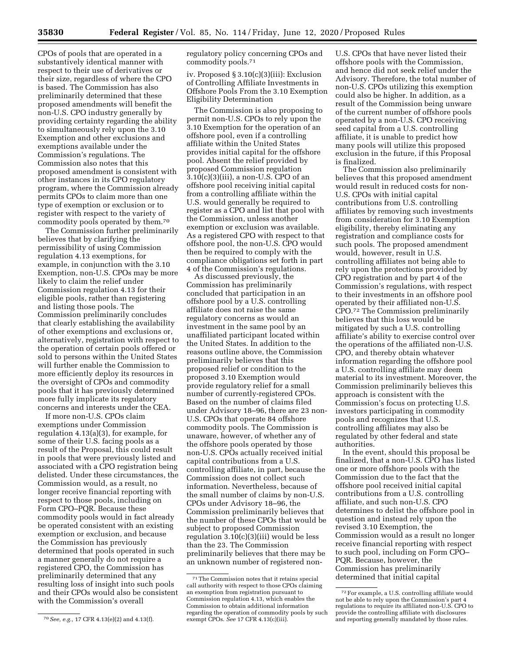CPOs of pools that are operated in a substantively identical manner with respect to their use of derivatives or their size, regardless of where the CPO is based. The Commission has also preliminarily determined that these proposed amendments will benefit the non-U.S. CPO industry generally by providing certainty regarding the ability to simultaneously rely upon the 3.10 Exemption and other exclusions and exemptions available under the Commission's regulations. The Commission also notes that this proposed amendment is consistent with other instances in its CPO regulatory program, where the Commission already permits CPOs to claim more than one type of exemption or exclusion or to register with respect to the variety of commodity pools operated by them.70

The Commission further preliminarily believes that by clarifying the permissibility of using Commission regulation 4.13 exemptions, for example, in conjunction with the 3.10 Exemption, non-U.S. CPOs may be more likely to claim the relief under Commission regulation 4.13 for their eligible pools, rather than registering and listing those pools. The Commission preliminarily concludes that clearly establishing the availability of other exemptions and exclusions or, alternatively, registration with respect to the operation of certain pools offered or sold to persons within the United States will further enable the Commission to more efficiently deploy its resources in the oversight of CPOs and commodity pools that it has previously determined more fully implicate its regulatory concerns and interests under the CEA.

If more non-U.S. CPOs claim exemptions under Commission regulation 4.13(a)(3), for example, for some of their U.S. facing pools as a result of the Proposal, this could result in pools that were previously listed and associated with a CPO registration being delisted. Under these circumstances, the Commission would, as a result, no longer receive financial reporting with respect to those pools, including on Form CPO–PQR. Because these commodity pools would in fact already be operated consistent with an existing exemption or exclusion, and because the Commission has previously determined that pools operated in such a manner generally do not require a registered CPO, the Commission has preliminarily determined that any resulting loss of insight into such pools and their CPOs would also be consistent with the Commission's overall

regulatory policy concerning CPOs and commodity pools.71

iv. Proposed § 3.10(c)(3)(iii): Exclusion of Controlling Affiliate Investments in Offshore Pools From the 3.10 Exemption Eligibility Determination

The Commission is also proposing to permit non-U.S. CPOs to rely upon the 3.10 Exemption for the operation of an offshore pool, even if a controlling affiliate within the United States provides initial capital for the offshore pool. Absent the relief provided by proposed Commission regulation  $3.10(c)(3)(iii)$ , a non-U.S. CPO of an offshore pool receiving initial capital from a controlling affiliate within the U.S. would generally be required to register as a CPO and list that pool with the Commission, unless another exemption or exclusion was available. As a registered CPO with respect to that offshore pool, the non-U.S. CPO would then be required to comply with the compliance obligations set forth in part 4 of the Commission's regulations.

As discussed previously, the Commission has preliminarily concluded that participation in an offshore pool by a U.S. controlling affiliate does not raise the same regulatory concerns as would an investment in the same pool by an unaffiliated participant located within the United States. In addition to the reasons outline above, the Commission preliminarily believes that this proposed relief or condition to the proposed 3.10 Exemption would provide regulatory relief for a small number of currently-registered CPOs. Based on the number of claims filed under Advisory 18–96, there are 23 non-U.S. CPOs that operate 84 offshore commodity pools. The Commission is unaware, however, of whether any of the offshore pools operated by those non-U.S. CPOs actually received initial capital contributions from a U.S. controlling affiliate, in part, because the Commission does not collect such information. Nevertheless, because of the small number of claims by non-U.S. CPOs under Advisory 18–96, the Commission preliminarily believes that the number of these CPOs that would be subject to proposed Commission regulation  $3.10(c)(3)(iii)$  would be less than the 23. The Commission preliminarily believes that there may be an unknown number of registered non-

U.S. CPOs that have never listed their offshore pools with the Commission, and hence did not seek relief under the Advisory. Therefore, the total number of non-U.S. CPOs utilizing this exemption could also be higher. In addition, as a result of the Commission being unware of the current number of offshore pools operated by a non-U.S. CPO receiving seed capital from a U.S. controlling affiliate, it is unable to predict how many pools will utilize this proposed exclusion in the future, if this Proposal is finalized.

The Commission also preliminarily believes that this proposed amendment would result in reduced costs for non-U.S. CPOs with initial capital contributions from U.S. controlling affiliates by removing such investments from consideration for 3.10 Exemption eligibility, thereby eliminating any registration and compliance costs for such pools. The proposed amendment would, however, result in U.S. controlling affiliates not being able to rely upon the protections provided by CPO registration and by part 4 of the Commission's regulations, with respect to their investments in an offshore pool operated by their affiliated non-U.S. CPO.72 The Commission preliminarily believes that this loss would be mitigated by such a U.S. controlling affiliate's ability to exercise control over the operations of the affiliated non-U.S. CPO, and thereby obtain whatever information regarding the offshore pool a U.S. controlling affiliate may deem material to its investment. Moreover, the Commission preliminarily believes this approach is consistent with the Commission's focus on protecting U.S. investors participating in commodity pools and recognizes that U.S. controlling affiliates may also be regulated by other federal and state authorities.

In the event, should this proposal be finalized, that a non-U.S. CPO has listed one or more offshore pools with the Commission due to the fact that the offshore pool received initial capital contributions from a U.S. controlling affiliate, and such non-U.S. CPO determines to delist the offshore pool in question and instead rely upon the revised 3.10 Exemption, the Commission would as a result no longer receive financial reporting with respect to such pool, including on Form CPO– PQR. Because, however, the Commission has preliminarily determined that initial capital

<sup>70</sup>*See, e.g.,* 17 CFR 4.13(e)(2) and 4.13(f).

<sup>71</sup>The Commission notes that it retains special call authority with respect to those CPOs claiming an exemption from registration pursuant to Commission regulation 4.13, which enables the Commission to obtain additional information regarding the operation of commodity pools by such exempt CPOs. *See* 17 CFR 4.13(c)(iii).

<sup>72</sup>For example, a U.S. controlling affiliate would not be able to rely upon the Commission's part 4 regulations to require its affiliated non-U.S. CPO to provide the controlling affiliate with disclosures and reporting generally mandated by those rules.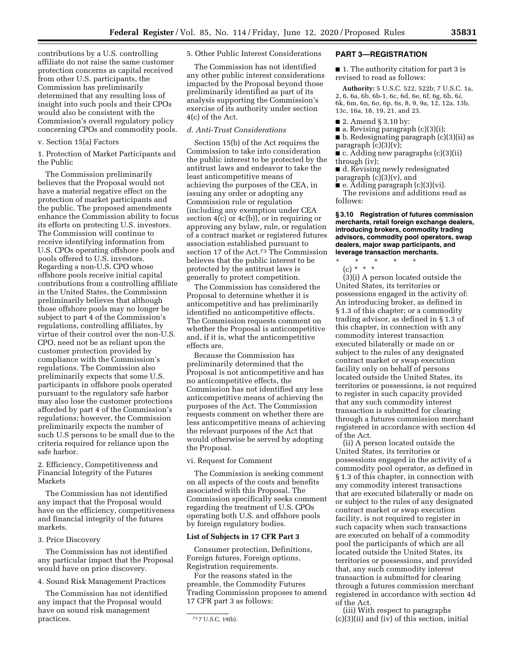contributions by a U.S. controlling affiliate do not raise the same customer protection concerns as capital received from other U.S. participants, the Commission has preliminarily determined that any resulting loss of insight into such pools and their CPOs would also be consistent with the Commission's overall regulatory policy concerning CPOs and commodity pools.

#### v. Section 15(a) Factors

#### 1. Protection of Market Participants and the Public

The Commission preliminarily believes that the Proposal would not have a material negative effect on the protection of market participants and the public. The proposed amendments enhance the Commission ability to focus its efforts on protecting U.S. investors. The Commission will continue to receive identifying information from U.S. CPOs operating offshore pools and pools offered to U.S. investors. Regarding a non-U.S. CPO whose offshore pools receive initial capital contributions from a controlling affiliate in the United States, the Commission preliminarily believes that although those offshore pools may no longer be subject to part 4 of the Commission's regulations, controlling affiliates, by virtue of their control over the non-U.S. CPO, need not be as reliant upon the customer protection provided by compliance with the Commission's regulations. The Commission also preliminarily expects that some U.S. participants in offshore pools operated pursuant to the regulatory safe harbor may also lose the customer protections afforded by part 4 of the Commission's regulations; however, the Commission preliminarily expects the number of such U.S persons to be small due to the criteria required for reliance upon the safe harbor.

2. Efficiency, Competitiveness and Financial Integrity of the Futures Markets

The Commission has not identified any impact that the Proposal would have on the efficiency, competitiveness and financial integrity of the futures markets.

# 3. Price Discovery

The Commission has not identified any particular impact that the Proposal would have on price discovery.

4. Sound Risk Management Practices

The Commission has not identified any impact that the Proposal would have on sound risk management practices.

5. Other Public Interest Considerations

The Commission has not identified any other public interest considerations impacted by the Proposal beyond those preliminarily identified as part of its analysis supporting the Commission's exercise of its authority under section 4(c) of the Act.

## *d. Anti-Trust Considerations*

Section 15(b) of the Act requires the Commission to take into consideration the public interest to be protected by the antitrust laws and endeavor to take the least anticompetitive means of achieving the purposes of the CEA, in issuing any order or adopting any Commission rule or regulation (including any exemption under CEA section 4(c) or 4c(b)), or in requiring or approving any bylaw, rule, or regulation of a contract market or registered futures association established pursuant to section 17 of the Act.73 The Commission believes that the public interest to be protected by the antitrust laws is generally to protect competition.

The Commission has considered the Proposal to determine whether it is anticompetitive and has preliminarily identified no anticompetitive effects. The Commission requests comment on whether the Proposal is anticompetitive and, if it is, what the anticompetitive effects are.

Because the Commission has preliminarily determined that the Proposal is not anticompetitive and has no anticompetitive effects, the Commission has not identified any less anticompetitive means of achieving the purposes of the Act. The Commission requests comment on whether there are less anticompetitive means of achieving the relevant purposes of the Act that would otherwise be served by adopting the Proposal.

vi. Request for Comment

The Commission is seeking comment on all aspects of the costs and benefits associated with this Proposal. The Commission specifically seeks comment regarding the treatment of U.S. CPOs operating both U.S. and offshore pools by foreign regulatory bodies.

#### **List of Subjects in 17 CFR Part 3**

Consumer protection, Definitions, Foreign futures, Foreign options, Registration requirements.

For the reasons stated in the preamble, the Commodity Futures Trading Commission proposes to amend 17 CFR part 3 as follows:

## **PART 3—REGISTRATION**

■ 1. The authority citation for part 3 is revised to read as follows:

**Authority:** 5 U.S.C. 522, 522b; 7 U.S.C. 1a, 2, 6, 6a, 6b, 6b-1, 6c, 6d, 6e, 6f, 6g, 6h, 6*i,*  6k, 6m, 6n, 6*o,* 6p, 6s, 8, 9, 9a, 12, 12a, 13b, 13c, 16a, 18, 19, 21, and 23.

- 2. Amend § 3.10 by:
- a. Revising paragraph (c)(3)(i); ■ b. Redesignating paragraph (c)(3)(ii) as
- paragraph  $(c)(3)(v)$ ;

■ c. Adding new paragraphs (c)(3)(ii) through (iv);

■ d. Revising newly redesignated paragraph  $(c)(3)(v)$ , and

■ e. Adding paragraph (c)(3)(vi). The revisions and additions read as follows:

**§ 3.10 Registration of futures commission merchants, retail foreign exchange dealers, introducing brokers, commodity trading advisors, commodity pool operators, swap dealers, major swap participants, and leverage transaction merchants.** 

\* \* \* \* \*

(c) \* \* \* (3)(i) A person located outside the

United States, its territories or possessions engaged in the activity of: An introducing broker, as defined in § 1.3 of this chapter; or a commodity trading advisor, as defined in § 1.3 of this chapter, in connection with any commodity interest transaction executed bilaterally or made on or subject to the rules of any designated contract market or swap execution facility only on behalf of persons located outside the United States, its territories or possessions, is not required to register in such capacity provided that any such commodity interest transaction is submitted for clearing through a futures commission merchant registered in accordance with section 4d of the Act.

(ii) A person located outside the United States, its territories or possessions engaged in the activity of a commodity pool operator, as defined in § 1.3 of this chapter, in connection with any commodity interest transactions that are executed bilaterally or made on or subject to the rules of any designated contract market or swap execution facility, is not required to register in such capacity when such transactions are executed on behalf of a commodity pool the participants of which are all located outside the United States, its territories or possessions, and provided that, any such commodity interest transaction is submitted for clearing through a futures commission merchant registered in accordance with section 4d of the Act.

(iii) With respect to paragraphs (c)(3)(ii) and (iv) of this section, initial

<sup>73</sup> 7 U.S.C. 19(b).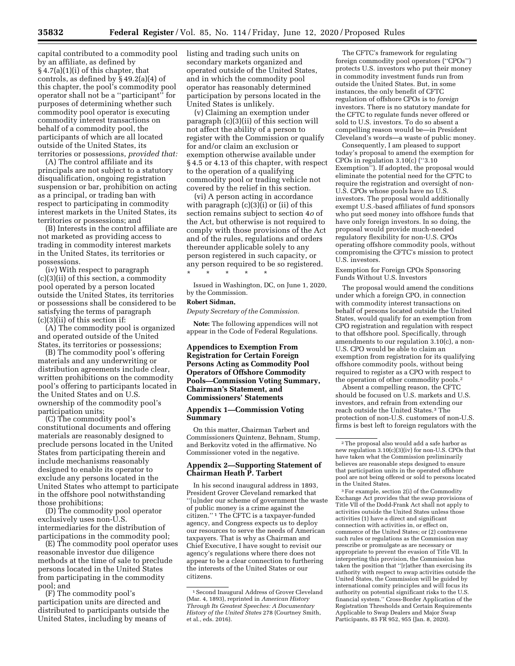capital contributed to a commodity pool by an affiliate, as defined by  $§ 4.7(a)(1)(i)$  of this chapter, that controls, as defined by § 49.2(a)(4) of this chapter, the pool's commodity pool operator shall not be a ''participant'' for purposes of determining whether such commodity pool operator is executing commodity interest transactions on behalf of a commodity pool, the participants of which are all located outside of the United States, its territories or possessions, *provided that:* 

(A) The control affiliate and its principals are not subject to a statutory disqualification, ongoing registration suspension or bar, prohibition on acting as a principal, or trading ban with respect to participating in commodity interest markets in the United States, its territories or possessions; and

(B) Interests in the control affiliate are not marketed as providing access to trading in commodity interest markets in the United States, its territories or possessions.

(iv) With respect to paragraph (c)(3)(ii) of this section, a commodity pool operated by a person located outside the United States, its territories or possessions shall be considered to be satisfying the terms of paragraph  $(c)(3)(ii)$  of this section if:

(A) The commodity pool is organized and operated outside of the United States, its territories or possessions;

(B) The commodity pool's offering materials and any underwriting or distribution agreements include clear, written prohibitions on the commodity pool's offering to participants located in the United States and on U.S. ownership of the commodity pool's participation units;

(C) The commodity pool's constitutional documents and offering materials are reasonably designed to preclude persons located in the United States from participating therein and include mechanisms reasonably designed to enable its operator to exclude any persons located in the United States who attempt to participate in the offshore pool notwithstanding those prohibitions;

(D) The commodity pool operator exclusively uses non-U.S. intermediaries for the distribution of participations in the commodity pool;

(E) The commodity pool operator uses reasonable investor due diligence methods at the time of sale to preclude persons located in the United States from participating in the commodity pool; and

(F) The commodity pool's participation units are directed and distributed to participants outside the United States, including by means of

listing and trading such units on secondary markets organized and operated outside of the United States, and in which the commodity pool operator has reasonably determined participation by persons located in the United States is unlikely.

(v) Claiming an exemption under paragraph (c)(3)(ii) of this section will not affect the ability of a person to register with the Commission or qualify for and/or claim an exclusion or exemption otherwise available under § 4.5 or 4.13 of this chapter, with respect to the operation of a qualifying commodity pool or trading vehicle not covered by the relief in this section.

(vi) A person acting in accordance with paragraph (c)(3)(i) or (ii) of this section remains subject to section 4*o* of the Act, but otherwise is not required to comply with those provisions of the Act and of the rules, regulations and orders thereunder applicable solely to any person registered in such capacity, or any person required to be so registered.

\* \* \* \* \* Issued in Washington, DC, on June 1, 2020, by the Commission.

#### **Robert Sidman,**

*Deputy Secretary of the Commission.* 

**Note:** The following appendices will not appear in the Code of Federal Regulations.

## **Appendices to Exemption From Registration for Certain Foreign Persons Acting as Commodity Pool Operators of Offshore Commodity Pools—Commission Voting Summary, Chairman's Statement, and Commissioners' Statements**

#### **Appendix 1—Commission Voting Summary**

On this matter, Chairman Tarbert and Commissioners Quintenz, Behnam, Stump, and Berkovitz voted in the affirmative. No Commissioner voted in the negative.

### **Appendix 2—Supporting Statement of Chairman Heath P. Tarbert**

In his second inaugural address in 1893, President Grover Cleveland remarked that ''[u]nder our scheme of government the waste of public money is a crime against the citizen.'' 1 The CFTC is a taxpayer-funded agency, and Congress expects us to deploy our resources to serve the needs of American taxpayers. That is why as Chairman and Chief Executive, I have sought to revisit our agency's regulations where there does not appear to be a clear connection to furthering the interests of the United States or our citizens.

The CFTC's framework for regulating foreign commodity pool operators (''CPOs'') protects U.S. investors who put their money in commodity investment funds run from outside the United States. But, in some instances, the only benefit of CFTC regulation of offshore CPOs is to *foreign*  investors. There is no statutory mandate for the CFTC to regulate funds never offered or sold to U.S. investors. To do so absent a compelling reason would be—in President Cleveland's words—a waste of public money.

Consequently, I am pleased to support today's proposal to amend the exemption for CPOs in regulation 3.10(c) (''3.10 Exemption''). If adopted, the proposal would eliminate the potential need for the CFTC to require the registration and oversight of non-U.S. CPOs whose pools have no U.S. investors. The proposal would additionally exempt U.S.-based affiliates of fund sponsors who put seed money into offshore funds that have only foreign investors. In so doing, the proposal would provide much-needed regulatory flexibility for non-U.S. CPOs operating offshore commodity pools, without compromising the CFTC's mission to protect U.S. investors.

Exemption for Foreign CPOs Sponsoring Funds Without U.S. Investors

The proposal would amend the conditions under which a foreign CPO, in connection with commodity interest transactions on behalf of persons located outside the United States, would qualify for an exemption from CPO registration and regulation with respect to that offshore pool. Specifically, through amendments to our regulation 3.10(c), a non-U.S. CPO would be able to claim an exemption from registration for its qualifying offshore commodity pools, without being required to register as a CPO with respect to the operation of other commodity pools.2

Absent a compelling reason, the CFTC should be focused on U.S. markets and U.S. investors, and refrain from extending our reach outside the United States.3 The protection of non-U.S. customers of non-U.S. firms is best left to foreign regulators with the

3For example, section 2(i) of the Commodity Exchange Act provides that the swap provisions of Title VII of the Dodd-Frank Act shall not apply to activities outside the United States unless those activities (1) have a direct and significant connection with activities in, or effect on, commerce of the United States; or (2) contravene such rules or regulations as the Commission may prescribe or promulgate as are necessary or appropriate to prevent the evasion of Title VII. In interpreting this provision, the Commission has taken the position that ''[r]ather than exercising its authority with respect to swap activities outside the United States, the Commission will be guided by international comity principles and will focus its authority on potential significant risks to the U.S. financial system.'' Cross-Border Application of the Registration Thresholds and Certain Requirements Applicable to Swap Dealers and Major Swap Participants, 85 FR 952, 955 (Jan. 8, 2020).

<sup>1</sup>Second Inaugural Address of Grover Cleveland (Mar. 4, 1893), reprinted in *American History Through Its Greatest Speeches: A Documentary History of the United States* 278 (Courtney Smith, et al., eds. 2016).

<sup>2</sup>The proposal also would add a safe harbor as new regulation 3.10(c)(3)(iv) for non-U.S. CPOs that have taken what the Commission preliminarily believes are reasonable steps designed to ensure that participation units in the operated offshore pool are not being offered or sold to persons located in the United States.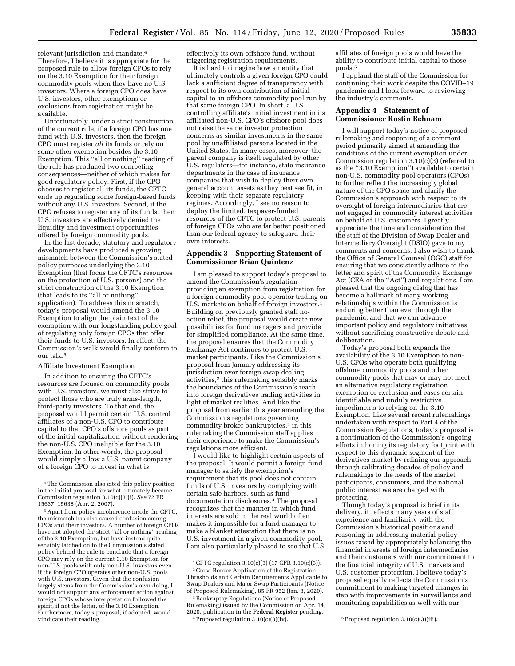relevant jurisdiction and mandate.4 Therefore, I believe it is appropriate for the proposed rule to allow foreign CPOs to rely on the 3.10 Exemption for their foreign commodity pools when they have no U.S. investors. Where a foreign CPO does have U.S. investors, other exemptions or exclusions from registration might be available.

Unfortunately, under a strict construction of the current rule, if a foreign CPO has one fund with U.S. investors, then the foreign CPO must register *all* its funds or rely on some other exemption besides the 3.10 Exemption. This "all or nothing" reading of the rule has produced two competing consequences—neither of which makes for good regulatory policy. First, if the CPO chooses to register all its funds, the CFTC ends up regulating some foreign-based funds without any U.S. investors. Second, if the CPO refuses to register any of its funds, then U.S. investors are effectively denied the liquidity and investment opportunities offered by foreign commodity pools.

In the last decade, statutory and regulatory developments have produced a growing mismatch between the Commission's stated policy purposes underlying the 3.10 Exemption (that focus the CFTC's resources on the protection of U.S. persons) and the strict construction of the 3.10 Exemption (that leads to its ''all or nothing'' application). To address this mismatch, today's proposal would amend the 3.10 Exemption to align the plain text of the exemption with our longstanding policy goal of regulating only foreign CPOs that offer their funds to U.S. investors. In effect, the Commission's walk would finally conform to our talk.<sup>5</sup>

#### Affiliate Investment Exemption

In addition to ensuring the CFTC's resources are focused on commodity pools with U.S. investors, we must also strive to protect those who are truly arms-length, third-party investors. To that end, the proposal would permit certain U.S. control affiliates of a non-U.S. CPO to contribute capital to that CPO's offshore pools as part of the initial capitalization without rendering the non-U.S. CPO ineligible for the 3.10 Exemption. In other words, the proposal would simply allow a U.S. parent company of a foreign CPO to invest in what is

effectively its own offshore fund, without triggering registration requirements.

It is hard to imagine how an entity that ultimately controls a given foreign CPO could lack a sufficient degree of transparency with respect to its own contribution of initial capital to an offshore commodity pool run by that same foreign CPO. In short, a U.S. controlling affiliate's initial investment in its affiliated non-U.S. CPO's offshore pool does not raise the same investor protection concerns as similar investments in the same pool by unaffiliated persons located in the United States. In many cases, moreover, the parent company is itself regulated by other U.S. regulators—for instance, state insurance departments in the case of insurance companies that wish to deploy their own general account assets as they best see fit, in keeping with their separate regulatory regimes. Accordingly, I see no reason to deploy the limited, taxpayer-funded resources of the CFTC to protect U.S. parents of foreign CPOs who are far better positioned than our federal agency to safeguard their own interests.

# **Appendix 3—Supporting Statement of Commissioner Brian Quintenz**

I am pleased to support today's proposal to amend the Commission's regulation providing an exemption from registration for a foreign commodity pool operator trading on U.S. markets on behalf of foreign investors.<sup>1</sup> Building on previously granted staff noaction relief, the proposal would create new possibilities for fund managers and provide for simplified compliance. At the same time, the proposal ensures that the Commodity Exchange Act continues to protect U.S. market participants. Like the Commission's proposal from January addressing its jurisdiction over foreign swap dealing activities,<sup>2</sup> this rulemaking sensibly marks the boundaries of the Commission's reach into foreign derivatives trading activities in light of market realities. And like the proposal from earlier this year amending the Commission's regulations governing commodity broker bankruptcies,<sup>3</sup> in this rulemaking the Commission staff applies their experience to make the Commission's regulations more efficient.

I would like to highlight certain aspects of the proposal. It would permit a foreign fund manager to satisfy the exemption's requirement that its pool does not contain funds of U.S. investors by complying with certain safe harbors, such as fund documentation disclosures.4 The proposal recognizes that the manner in which fund interests are sold in the real world often makes it impossible for a fund manager to make a blanket attestation that there is no U.S. investment in a given commodity pool. I am also particularly pleased to see that U.S. affiliates of foreign pools would have the ability to contribute initial capital to those pools.5

I applaud the staff of the Commission for continuing their work despite the COVID–19 pandemic and I look forward to reviewing the industry's comments.

## **Appendix 4—Statement of Commissioner Rostin Behnam**

I will support today's notice of proposed rulemaking and reopening of a comment period primarily aimed at amending the conditions of the current exemption under Commission regulation  $3.10(c)(3)$  (referred to as the ''3.10 Exemption'') available to certain non-U.S. commodity pool operators (CPOs) to further reflect the increasingly global nature of the CPO space and clarify the Commission's approach with respect to its oversight of foreign intermediaries that are not engaged in commodity interest activities on behalf of U.S. customers. I greatly appreciate the time and consideration that the staff of the Division of Swap Dealer and Intermediary Oversight (DSIO) gave to my comments and concerns. I also wish to thank the Office of General Counsel (OGC) staff for ensuring that we consistently adhere to the letter and spirit of the Commodity Exchange Act (CEA or the ''Act'') and regulations. I am pleased that the ongoing dialog that has become a hallmark of many working relationships within the Commission is enduring better than ever through the pandemic, and that we can advance important policy and regulatory initiatives without sacrificing constructive debate and deliberation.

Today's proposal both expands the availability of the 3.10 Exemption to non-U.S. CPOs who operate both qualifying offshore commodity pools and other commodity pools that may or may not meet an alternative regulatory registration exemption or exclusion and eases certain identifiable and unduly restrictive impediments to relying on the 3.10 Exemption. Like several recent rulemakings undertaken with respect to Part 4 of the Commission Regulations, today's proposal is a continuation of the Commission's ongoing efforts in honing its regulatory footprint with respect to this dynamic segment of the derivatives market by refining our approach through calibrating decades of policy and rulemakings to the needs of the market participants, consumers, and the national public interest we are charged with protecting.

Though today's proposal is brief in its delivery, it reflects many years of staff experience and familiarity with the Commission's historical positions and reasoning in addressing material policy issues raised by appropriately balancing the financial interests of foreign intermediaries and their customers with our commitment to the financial integrity of U.S. markets and U.S. customer protection. I believe today's proposal equally reflects the Commission's commitment to making targeted changes in step with improvements in surveillance and monitoring capabilities as well with our

<sup>4</sup>The Commission also cited this policy position in the initial proposal for what ultimately became Commission regulation 3.10(c)(3)(i). *See* 72 FR 15637, 15638 (Apr. 2, 2007).

<sup>5</sup>Apart from policy incoherence inside the CFTC, the mismatch has also caused confusion among CPOs and their investors. A number of foreign CPOs have not adopted the strict ''all or nothing'' reading of the 3.10 Exemption, but have instead quite sensibly latched on to the Commission's stated policy behind the rule to conclude that a foreign CPO may rely on the current 3.10 Exemption for non-U.S. pools with only non-U.S. investors even if the foreign CPO operates other non-U.S. pools with U.S. investors. Given that the confusion largely stems from the Commission's own doing, I would not support any enforcement action against foreign CPOs whose interpretation followed the spirit, if not the letter, of the 3.10 Exemption. Furthermore, today's proposal, if adopted, would vindicate their reading.

<sup>1</sup>CFTC regulation 3.10(c)(3) (17 CFR 3.10(c)(3)).

<sup>2</sup>Cross-Border Application of the Registration Thresholds and Certain Requirements Applicable to Swap Dealers and Major Swap Participants (Notice of Proposed Rulemaking), 85 FR 952 (Jan. 8, 2020).

<sup>3</sup>Bankruptcy Regulations (Notice of Proposed Rulemaking) issued by the Commission on Apr. 14, 2020, publication in the **Federal Register** pending. 4Proposed regulation 3.10(c)(3)(iv). 5Proposed regulation 3.10(c)(3)(iii).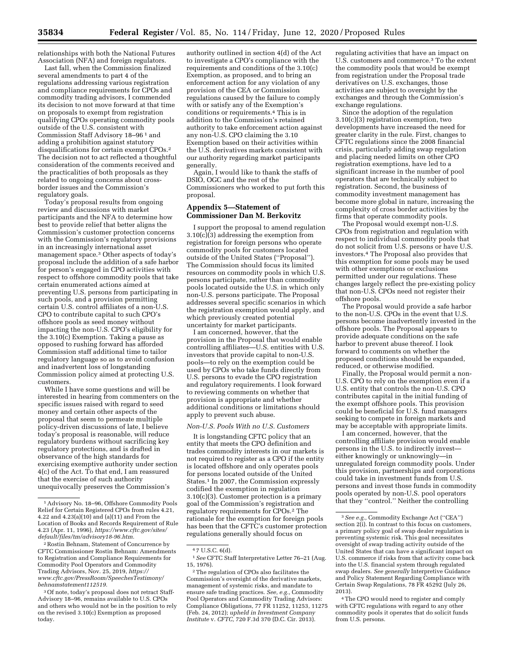relationships with both the National Futures Association (NFA) and foreign regulators.

Last fall, when the Commission finalized several amendments to part 4 of the regulations addressing various registration and compliance requirements for CPOs and commodity trading advisors, I commended its decision to not move forward at that time on proposals to exempt from registration qualifying CPOs operating commodity pools outside of the U.S. consistent with Commission Staff Advisory 18–96 1 and adding a prohibition against statutory disqualifications for certain exempt CPOs.2 The decision not to act reflected a thoughtful consideration of the comments received and the practicalities of both proposals as they related to ongoing concerns about crossborder issues and the Commission's regulatory goals.

Today's proposal results from ongoing review and discussions with market participants and the NFA to determine how best to provide relief that better aligns the Commission's customer protection concerns with the Commission's regulatory provisions in an increasingly international asset management space.3 Other aspects of today's proposal include the addition of a safe harbor for person's engaged in CPO activities with respect to offshore commodity pools that take certain enumerated actions aimed at preventing U.S. persons from participating in such pools, and a provision permitting certain U.S. control affiliates of a non-U.S. CPO to contribute capital to such CPO's offshore pools as seed money without impacting the non-U.S. CPO's eligibility for the 3.10(c) Exemption. Taking a pause as opposed to rushing forward has afforded Commission staff additional time to tailor regulatory language so as to avoid confusion and inadvertent loss of longstanding Commission policy aimed at protecting U.S. customers.

While I have some questions and will be interested in hearing from commenters on the specific issues raised with regard to seed money and certain other aspects of the proposal that seem to permeate multiple policy-driven discussions of late, I believe today's proposal is reasonable, will reduce regulatory burdens without sacrificing key regulatory protections, and is drafted in observance of the high standards for exercising exemptive authority under section 4(c) of the Act. To that end, I am reassured that the exercise of such authority unequivocally preserves the Commission's

authority outlined in section 4(d) of the Act to investigate a CPO's compliance with the requirements and conditions of the 3.10(c) Exemption, as proposed, and to bring an enforcement action for any violation of any provision of the CEA or Commission regulations caused by the failure to comply with or satisfy any of the Exemption's conditions or requirements.4 This is in addition to the Commission's retained authority to take enforcement action against any non-U.S. CPO claiming the 3.10 Exemption based on their activities within the U.S. derivatives markets consistent with our authority regarding market participants generally.

Again, I would like to thank the staffs of DSIO, OGC and the rest of the Commissioners who worked to put forth this proposal.

## **Appendix 5—Statement of Commissioner Dan M. Berkovitz**

I support the proposal to amend regulation  $3.10(c)(3)$  addressing the exemption from registration for foreign persons who operate commodity pools for customers located outside of the United States (''Proposal''). The Commission should focus its limited resources on commodity pools in which U.S. persons participate, rather than commodity pools located outside the U.S. in which only non-U.S. persons participate. The Proposal addresses several specific scenarios in which the registration exemption would apply, and which previously created potential uncertainty for market participants.

I am concerned, however, that the provision in the Proposal that would enable controlling affiliates—U.S. entities with U.S. investors that provide capital to non-U.S. pools—to rely on the exemption could be used by CPOs who take funds directly from U.S. persons to evade the CPO registration and regulatory requirements. I look forward to reviewing comments on whether that provision is appropriate and whether additional conditions or limitations should apply to prevent such abuse.

#### *Non-U.S. Pools With no U.S. Customers*

It is longstanding CFTC policy that an entity that meets the CPO definition and trades commodity interests in our markets is not required to register as a CPO if the entity is located offshore and only operates pools for persons located outside of the United States.1 In 2007, the Commission expressly codified the exemption in regulation 3.10(c)(3). Customer protection is a primary goal of the Commission's registration and regulatory requirements for CPOs.2 The rationale for the exemption for foreign pools has been that the CFTC's customer protection regulations generally should focus on

regulating activities that have an impact on U.S. customers and commerce.3 To the extent the commodity pools that would be exempt from registration under the Proposal trade derivatives on U.S. exchanges, those activities are subject to oversight by the exchanges and through the Commission's exchange regulations.

Since the adoption of the regulation 3.10(c)(3) registration exemption, two developments have increased the need for greater clarity in the rule. First, changes to CFTC regulations since the 2008 financial crisis, particularly adding swap regulation and placing needed limits on other CPO registration exemptions, have led to a significant increase in the number of pool operators that are technically subject to registration. Second, the business of commodity investment management has become more global in nature, increasing the complexity of cross border activities by the firms that operate commodity pools.

The Proposal would exempt non-U.S. CPOs from registration and regulation with respect to individual commodity pools that do not solicit from U.S. persons or have U.S. investors.4 The Proposal also provides that this exemption for some pools may be used with other exemptions or exclusions permitted under our regulations. These changes largely reflect the pre-existing policy that non-U.S. CPOs need not register their offshore pools.

The Proposal would provide a safe harbor to the non-U.S. CPOs in the event that U.S. persons become inadvertently invested in the offshore pools. The Proposal appears to provide adequate conditions on the safe harbor to prevent abuse thereof. I look forward to comments on whether the proposed conditions should be expanded, reduced, or otherwise modified.

Finally, the Proposal would permit a non-U.S. CPO to rely on the exemption even if a U.S. entity that controls the non-U.S. CPO contributes capital in the initial funding of the exempt offshore pools. This provision could be beneficial for U.S. fund managers seeking to compete in foreign markets and may be acceptable with appropriate limits.

I am concerned, however, that the controlling affiliate provision would enable persons in the U.S. to indirectly invest either knowingly or unknowingly—in unregulated foreign commodity pools. Under this provision, partnerships and corporations could take in investment funds from U.S. persons and invest those funds in commodity pools operated by non-U.S. pool operators that they ''control.'' Neither the controlling

<sup>1</sup>Advisory No. 18–96, Offshore Commodity Pools Relief for Certain Registered CPOs from rules 4.21, 4.22 and 4.23(a)(10) and (a)(11) and From the Location of Books and Records Requirement of Rule 4.23 (Apr. 11, 1996), *[https://www.cftc.gov/sites/](https://www.cftc.gov/sites/default/files/tm/advisory18-96.htm)  [default/files/tm/advisory18-96.htm.](https://www.cftc.gov/sites/default/files/tm/advisory18-96.htm)* 

<sup>2</sup>Rostin Behnam, Statement of Concurrence by CFTC Commissioner Rostin Behnam: Amendments to Registration and Compliance Requirements for Commodity Pool Operators and Commodity Trading Advisors, Nov. 25, 2019, *[https://](https://www.cftc.gov/PressRoom/SpeechesTestimony/behnamstatement112519) [www.cftc.gov/PressRoom/SpeechesTestimony/](https://www.cftc.gov/PressRoom/SpeechesTestimony/behnamstatement112519)  [behnamstatement112519.](https://www.cftc.gov/PressRoom/SpeechesTestimony/behnamstatement112519)* 

<sup>&</sup>lt;sup>3</sup> Of note, today's proposal does not retract Staff-Advisory 18–96, remains available to U.S. CPOs and others who would not be in the position to rely on the revised 3.10(c) Exemption as proposed today.

<sup>4</sup> 7 U.S.C. 6(d).

<sup>1</sup>*See* CFTC Staff Interpretative Letter 76–21 (Aug. 15, 1976).

<sup>2</sup>The regulation of CPOs also facilitates the Commission's oversight of the derivative markets, management of systemic risks, and mandate to ensure safe trading practices. *See, e.g.,* Commodity Pool Operators and Commodity Trading Advisors: Compliance Obligations, 77 FR 11252, 11253, 11275 (Feb. 24, 2012); *upheld in Investment Company Institute* v. *CFTC,* 720 F.3d 370 (D.C. Cir. 2013).

<sup>3</sup>*See e.g.,* Commodity Exchange Act (''CEA'') section  $2(i)$ . In contrast to this focus on customers, a primary policy goal of swap dealer regulation is preventing systemic risk. This goal necessitates oversight of swap trading activity outside of the United States that can have a significant impact on U.S. commerce if risks from that activity come back into the U.S. financial system through regulated swap dealers. *See generally* Interpretive Guidance and Policy Statement Regarding Compliance with Certain Swap Regulations, 78 FR 45292 (July 26, 2013).

<sup>4</sup>The CPO would need to register and comply with CFTC regulations with regard to any other commodity pools it operates that do solicit funds from U.S. persons.